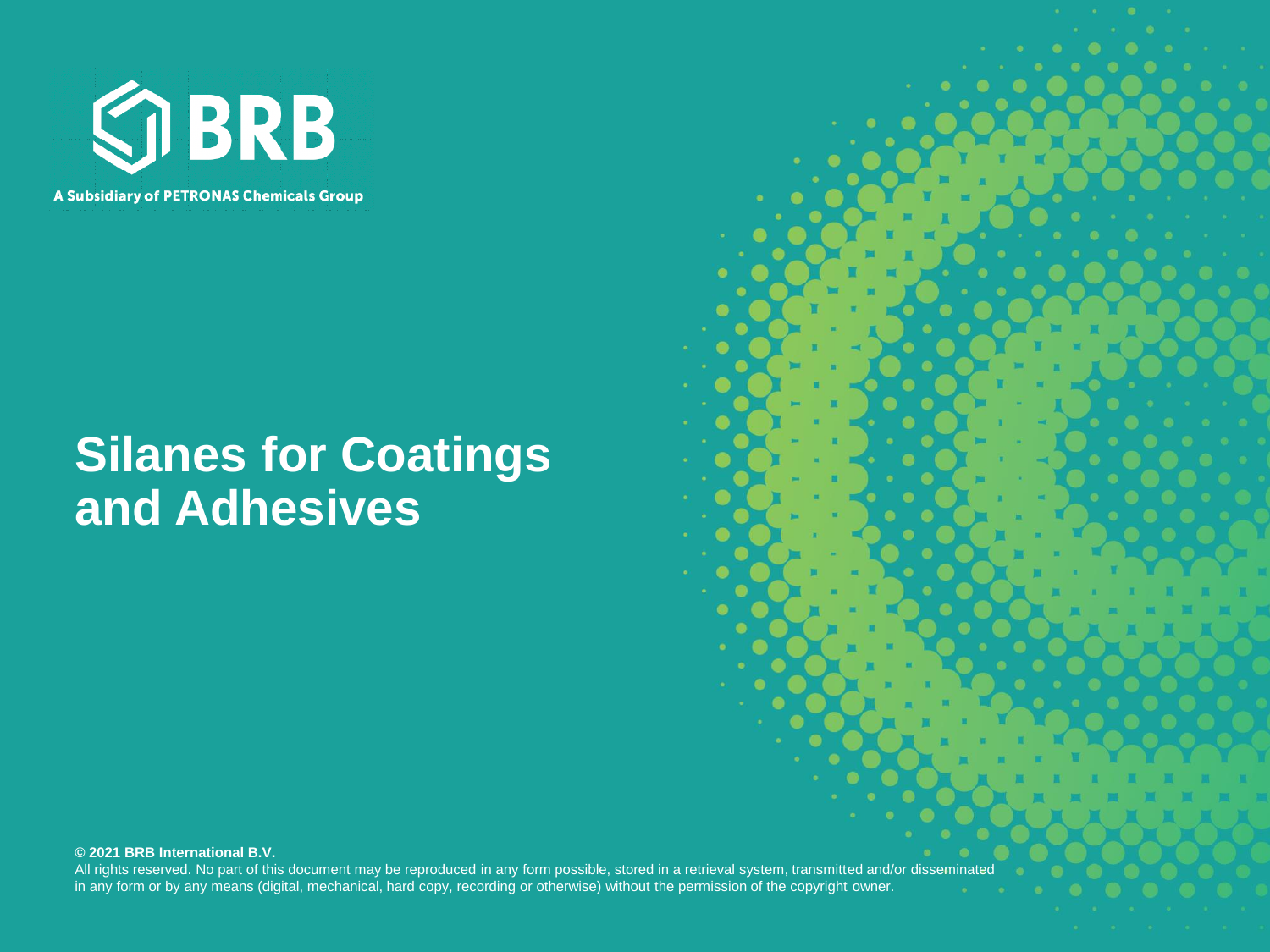

### **Silanes for Coatings and Adhesives**

#### **© 2021 BRB International B.V.**

All rights reserved. No part of this document may be reproduced in any form possible, stored in a retrieval system, transmitted and/or disseminated in any form or by any means (digital, mechanical, hard copy, recording or otherwise) without the permission of the copyright owner.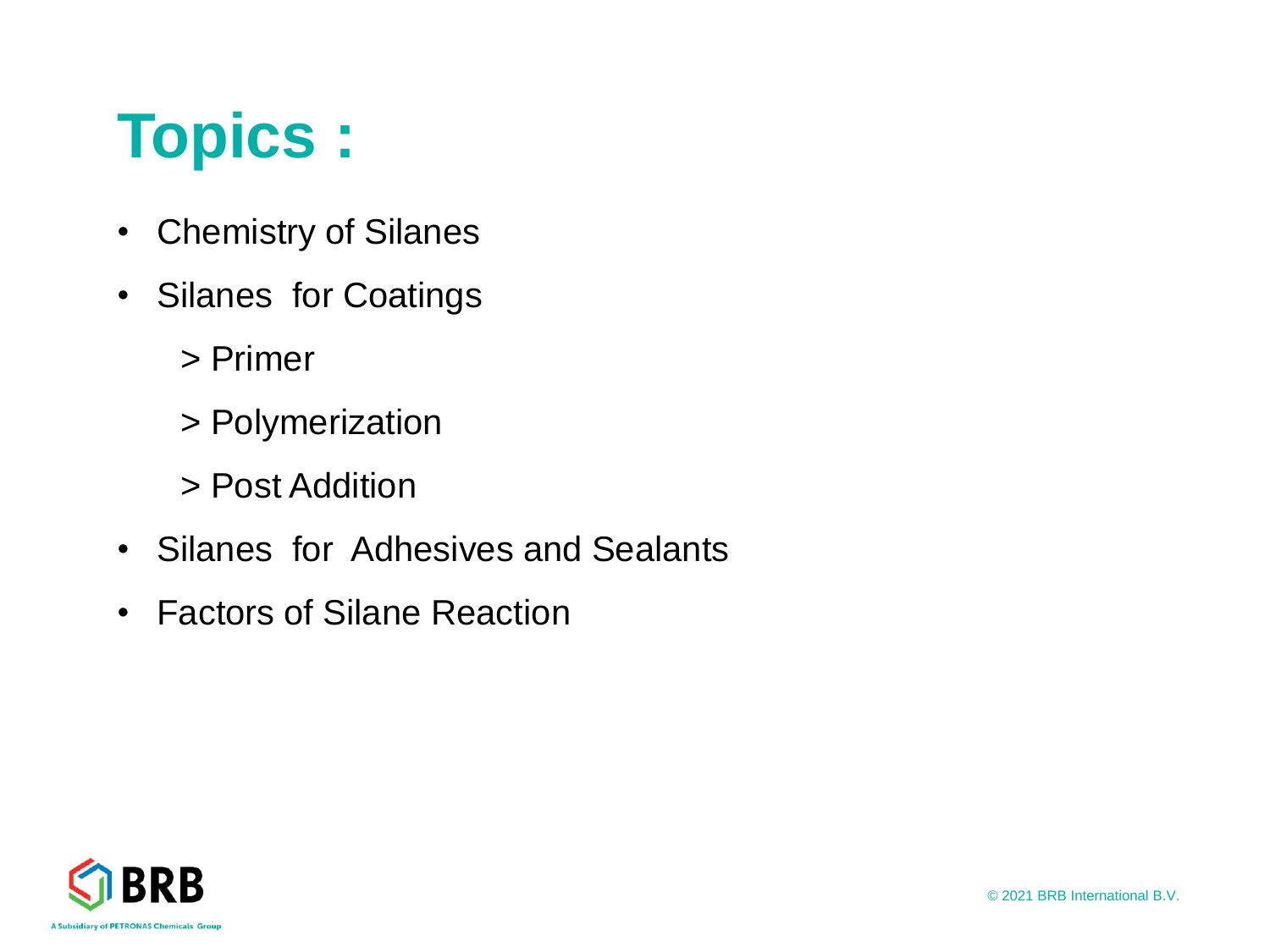# **Topics :**

- Chemistry of Silanes
- Silanes for Coatings
	- > Primer
	- > Polymerization
	- > Post Addition
- Silanes for Adhesives and Sealants
- Factors of Silane Reaction

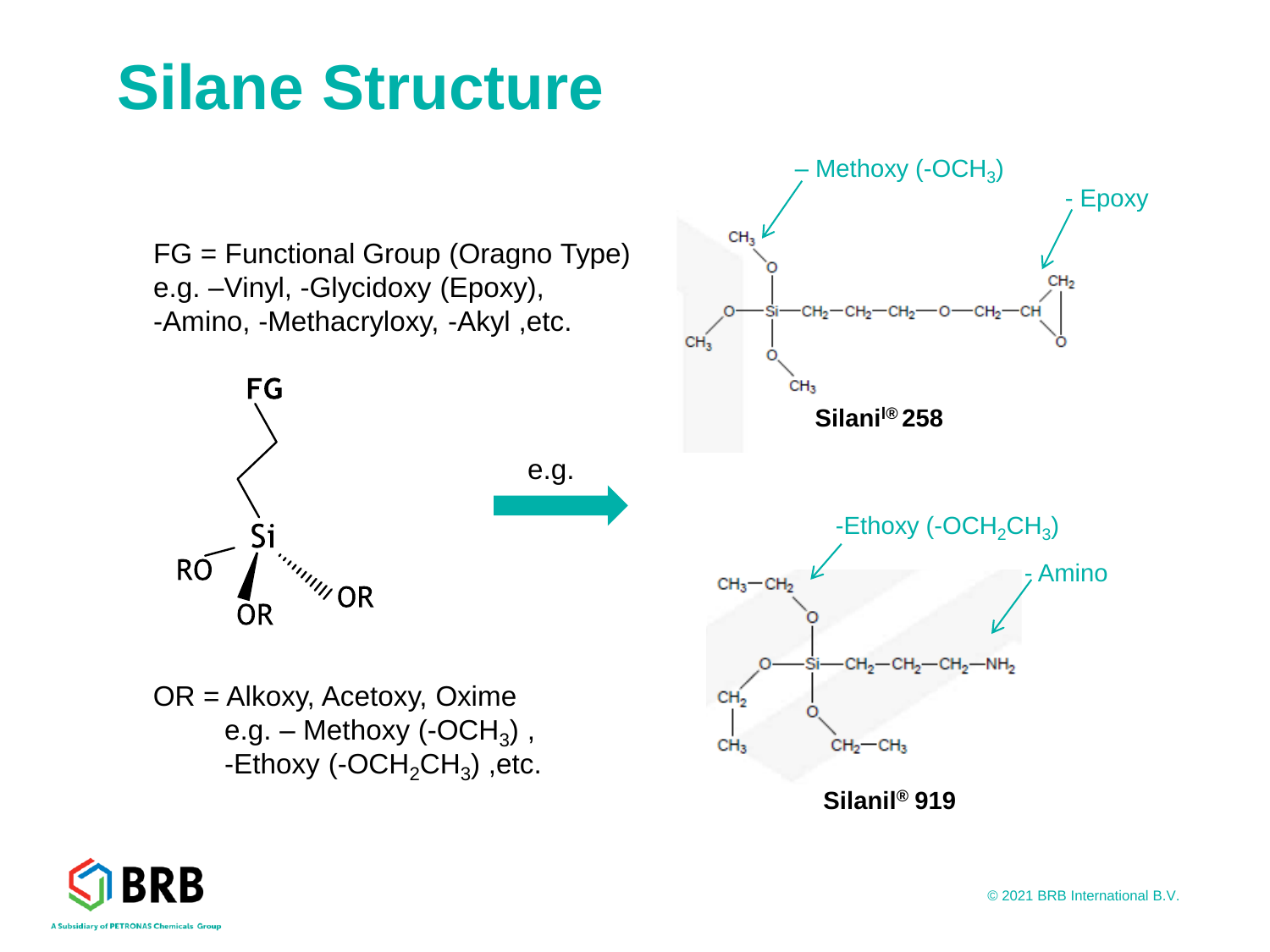# **Silane Structure**



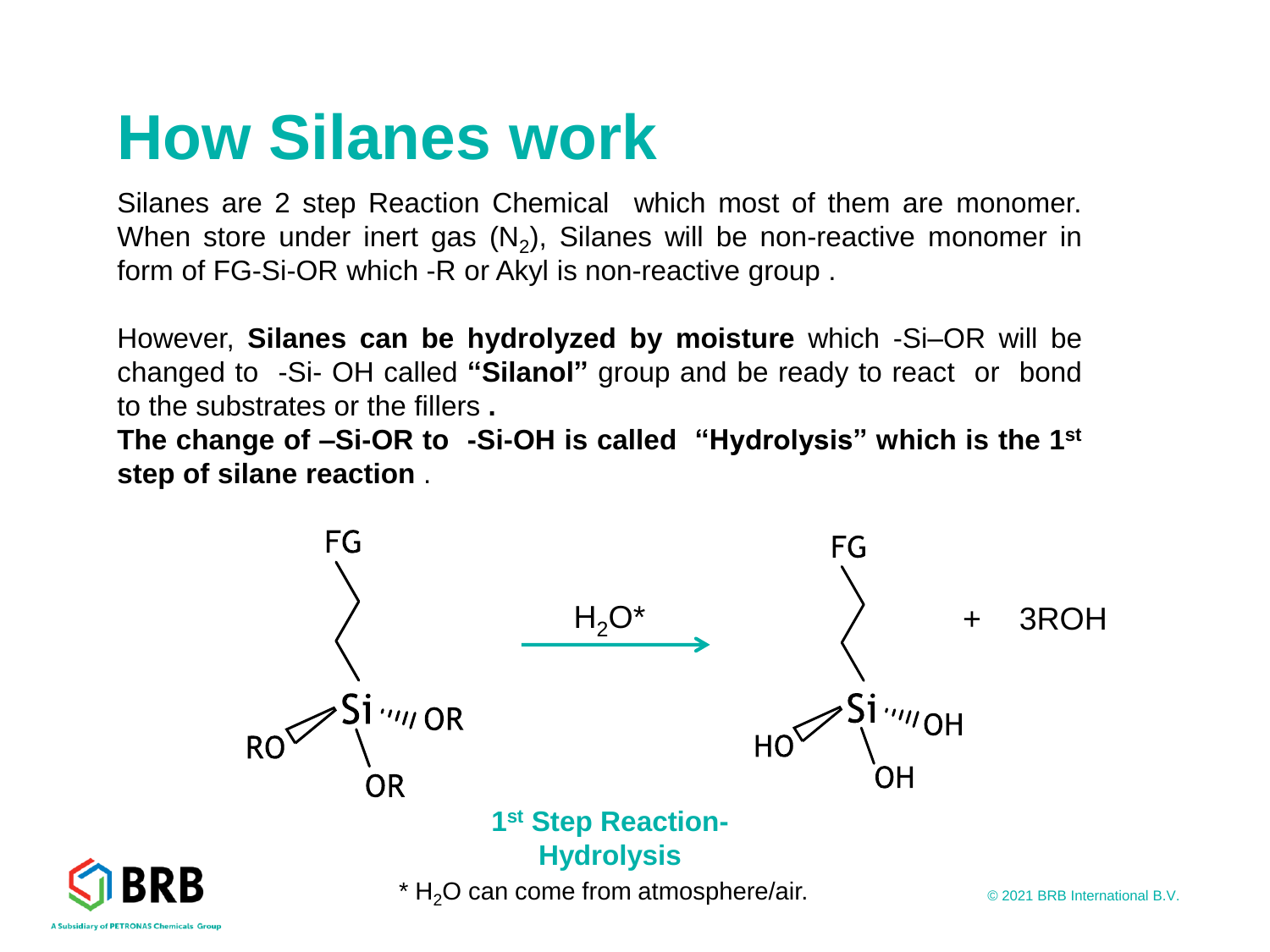# **How Silanes work**

Silanes are 2 step Reaction Chemical which most of them are monomer. When store under inert gas  $(\mathsf{N}_2)$ , Silanes will be non-reactive monomer in form of FG-Si-OR which -R or Akyl is non-reactive group .

However, **Silanes can be hydrolyzed by moisture** which -Si–OR will be changed to -Si- OH called **"Silanol"** group and be ready to react or bond to the substrates or the fillers **.**

**The change of –Si-OR to -Si-OH is called "Hydrolysis" which is the 1 st step of silane reaction** .

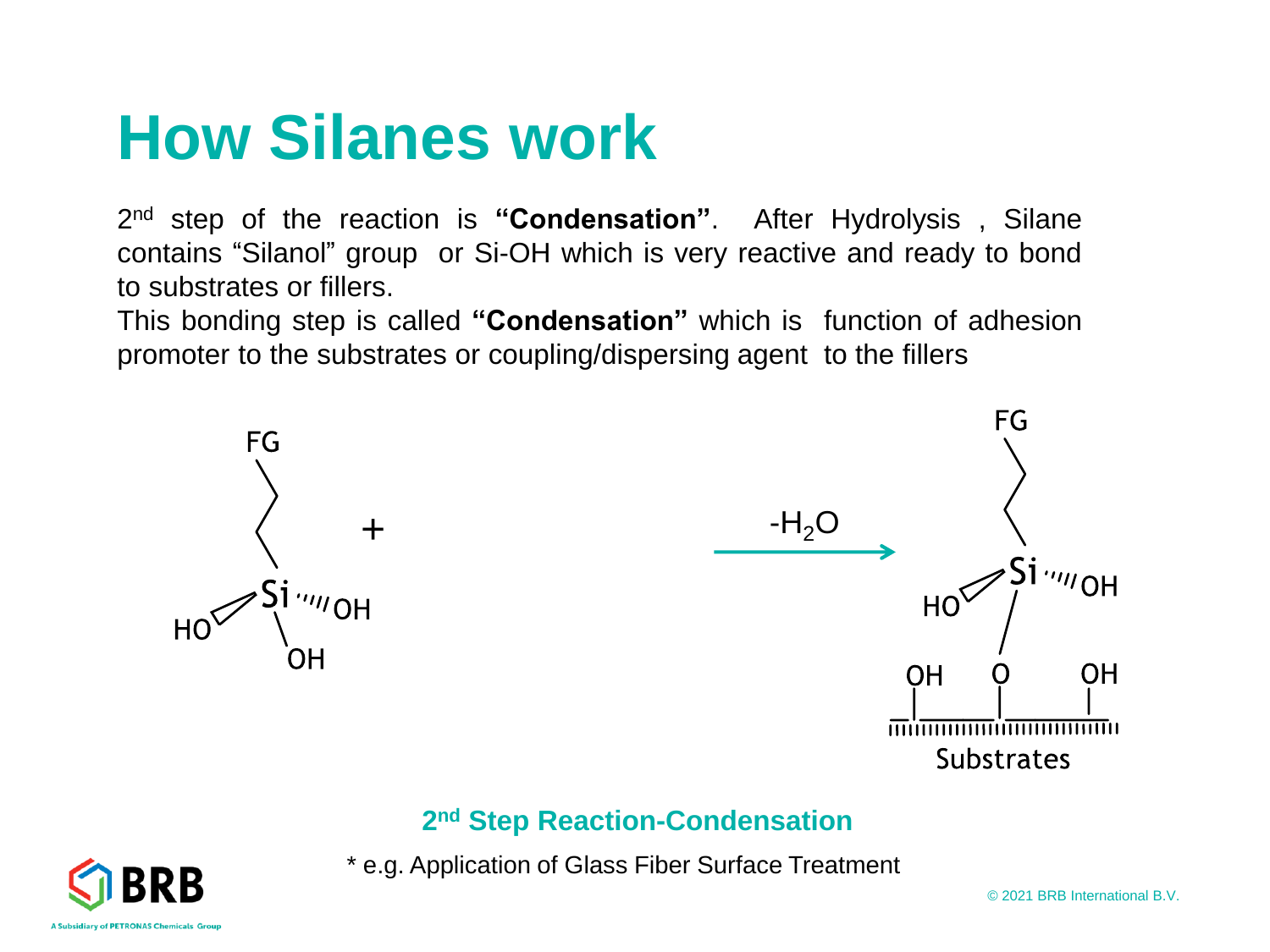# **How Silanes work**

2 nd step of the reaction is **"Condensation"**. After Hydrolysis , Silane contains "Silanol" group or Si-OH which is very reactive and ready to bond to substrates or fillers.

This bonding step is called **"Condensation"** which is function of adhesion promoter to the substrates or coupling/dispersing agent to the fillers



#### **2 nd Step Reaction-Condensation**

\* e.g. Application of Glass Fiber Surface Treatment



© 2021 BRB International B.V.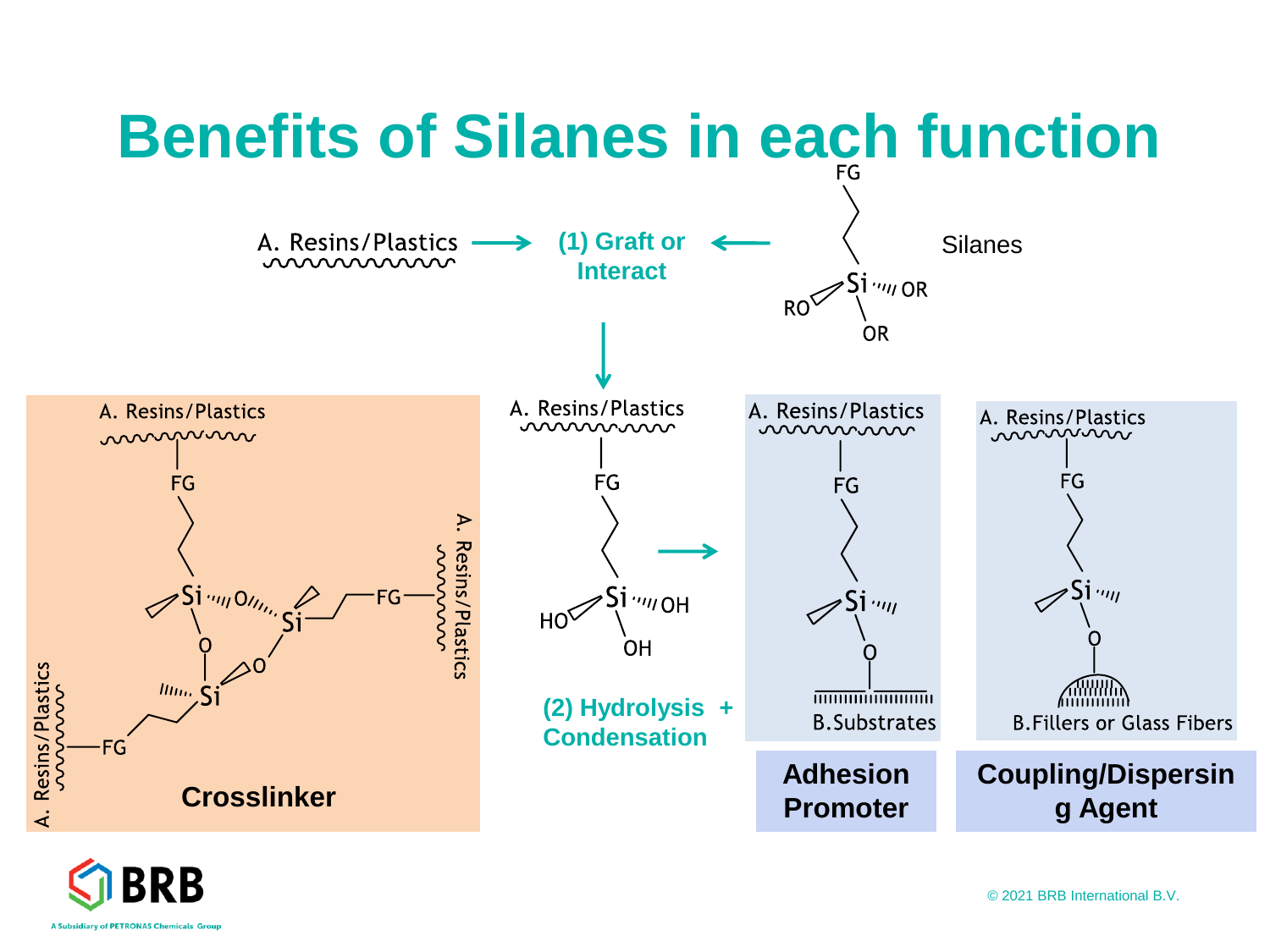



© 2021 BRB International B.V.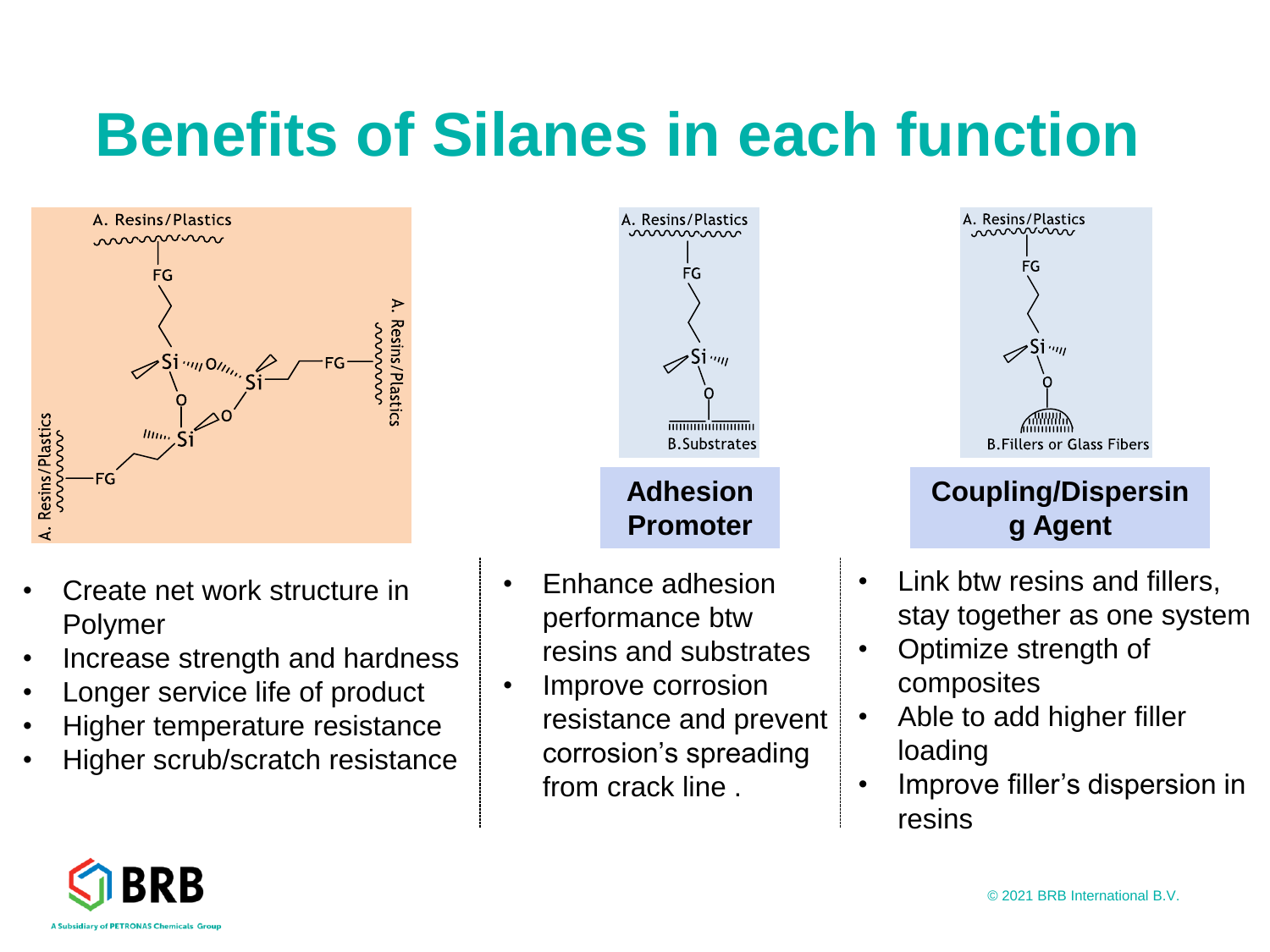# **Benefits of Silanes in each function**



- Create net work structure in Polymer
- Increase strength and hardness
- Longer service life of product
- Higher temperature resistance
- Higher scrub/scratch resistance



**Adhesion Promoter**

- Enhance adhesion performance btw resins and substrates
- Improve corrosion resistance and prevent corrosion's spreading from crack line .



#### **Coupling/Dispersin g Agent**

- Link btw resins and fillers, stay together as one system
- Optimize strength of composites
- Able to add higher filler loading
- Improve filler's dispersion in resins

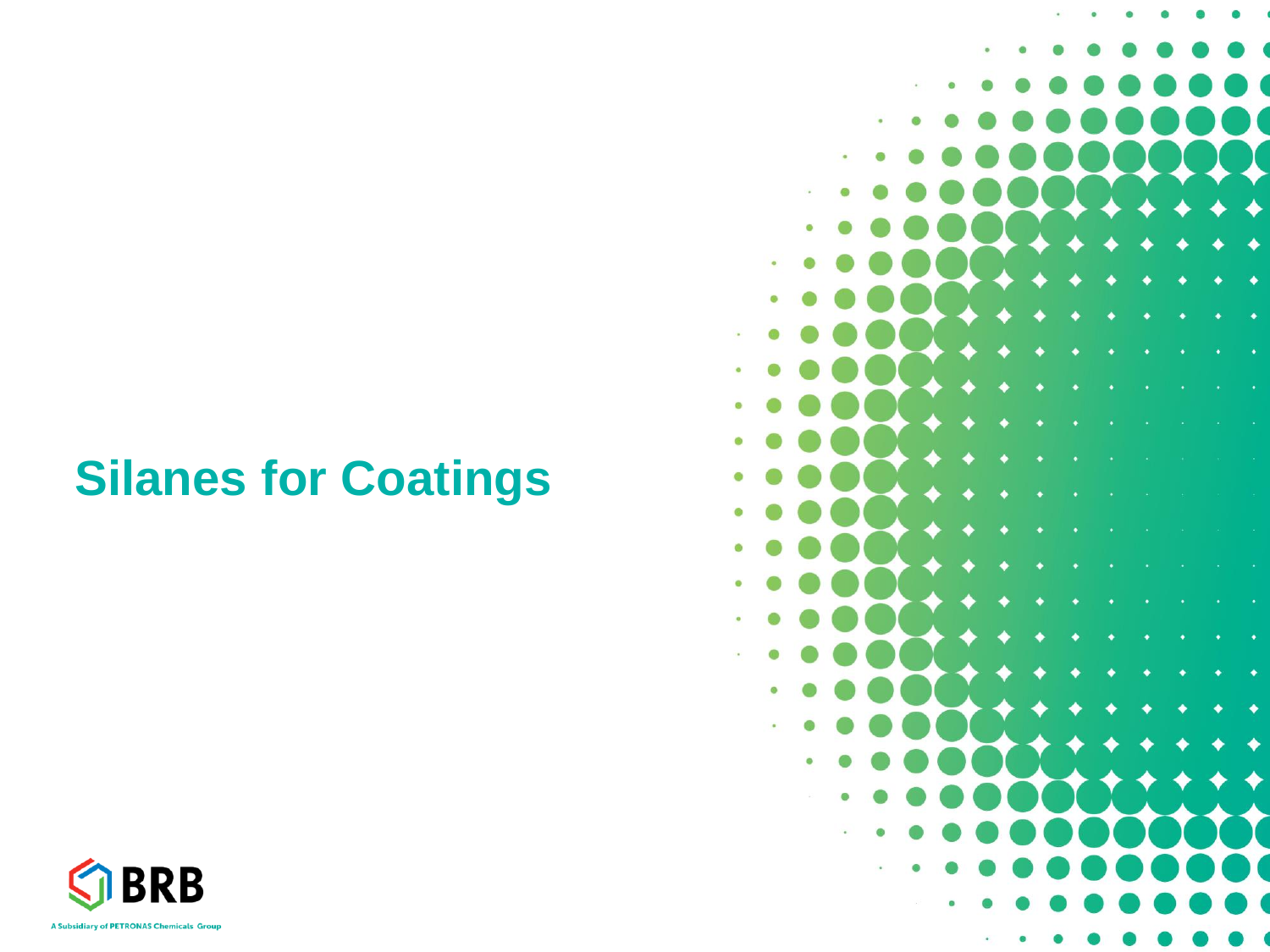### **Silanes for Coatings**



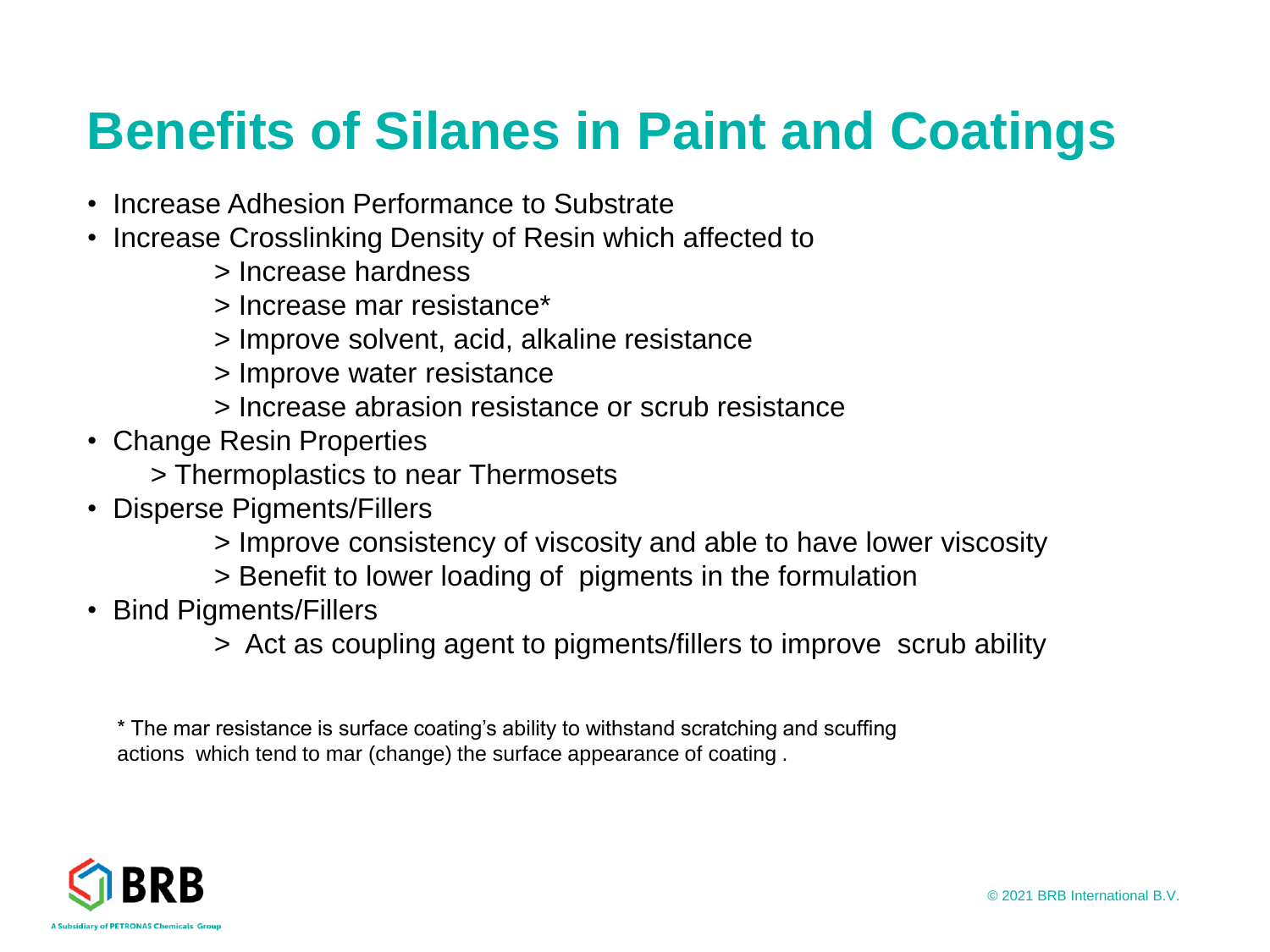### **Benefits of Silanes in Paint and Coatings**

- Increase Adhesion Performance to Substrate
- Increase Crosslinking Density of Resin which affected to
	- > Increase hardness
	- > Increase mar resistance\*
	- > Improve solvent, acid, alkaline resistance
	- > Improve water resistance
	- > Increase abrasion resistance or scrub resistance
- Change Resin Properties
	- > Thermoplastics to near Thermosets
- Disperse Pigments/Fillers
	- > Improve consistency of viscosity and able to have lower viscosity
	- > Benefit to lower loading of pigments in the formulation
- Bind Pigments/Fillers
	- > Act as coupling agent to pigments/fillers to improve scrub ability

\* The mar resistance is surface coating's ability to withstand scratching and scuffing actions which tend to mar (change) the surface appearance of coating .

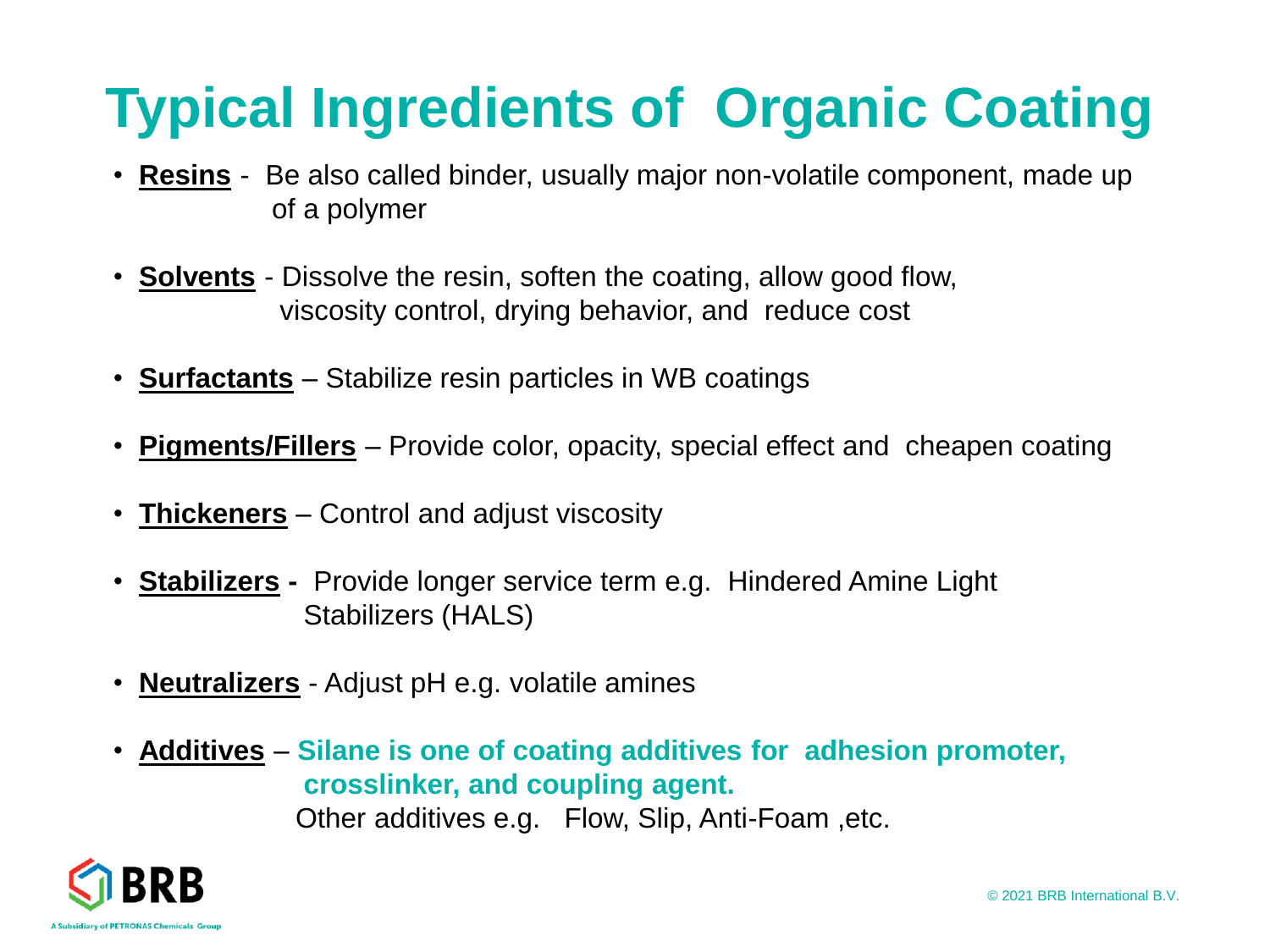## **Typical Ingredients of Organic Coating**

- **Resins** Be also called binder, usually major non-volatile component, made up of a polymer
- **Solvents** Dissolve the resin, soften the coating, allow good flow, viscosity control, drying behavior, and reduce cost
- **Surfactants** Stabilize resin particles in WB coatings
- **Pigments/Fillers** Provide color, opacity, special effect and cheapen coating
- **Thickeners** Control and adjust viscosity
- **Stabilizers -** Provide longer service term e.g. Hindered Amine Light Stabilizers (HALS)
- **Neutralizers** Adjust pH e.g. volatile amines
- **Additives Silane is one of coating additives for adhesion promoter, crosslinker, and coupling agent.**  Other additives e.g. Flow, Slip, Anti-Foam ,etc.

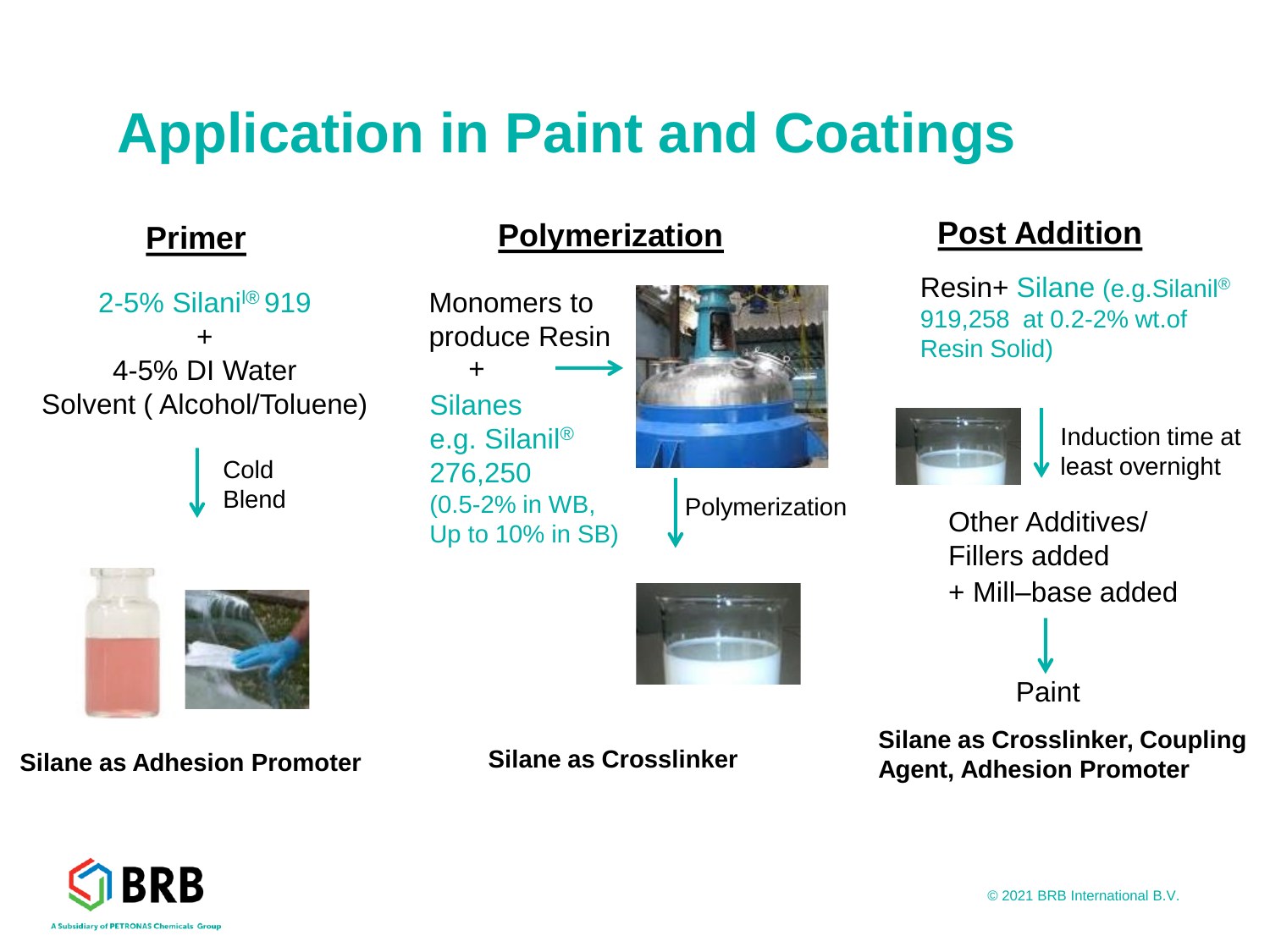### **Application in Paint and Coatings**

 $2-5\%$  Silani $\textdegree$ 919 + 4-5% DI Water Solvent ( Alcohol/Toluene)

> Cold Blend

**Silane as Adhesion Promoter Silane as Crosslinker** 

#### **Primer Polymerization Post Addition**

Monomers to produce Resin **Silanes** e.g. Silanil® 276,250 (0.5-2% in WB, Up to 10% in SB) +



Polymerization

Resin+ Silane (e.g.Silanil® 919,258 at 0.2-2% wt.of Resin Solid)



Induction time at least overnight

+ Mill–base added Other Additives/ Fillers added

Paint

**Silane as Crosslinker, Coupling Agent, Adhesion Promoter**





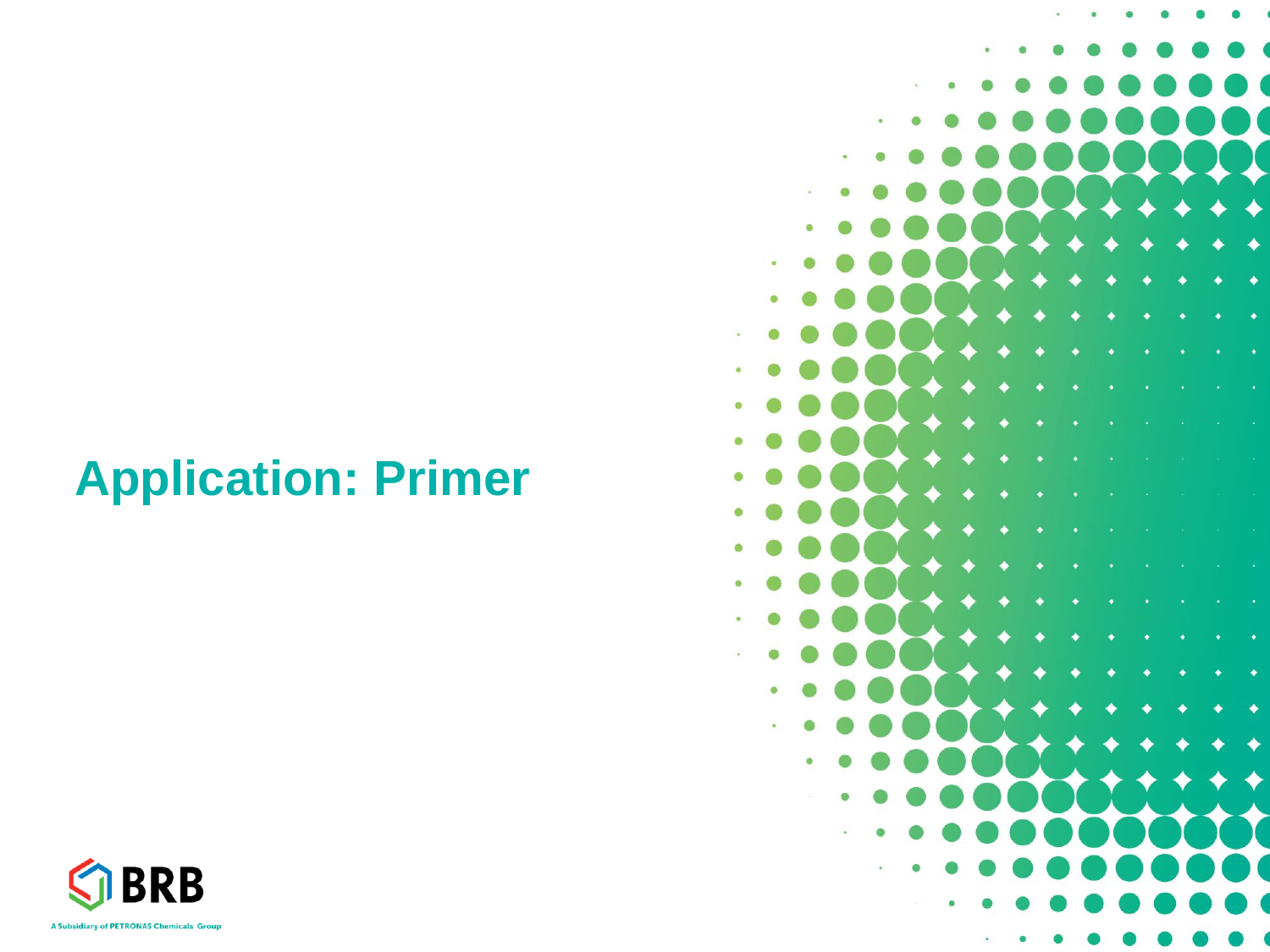### **Application: Primer**



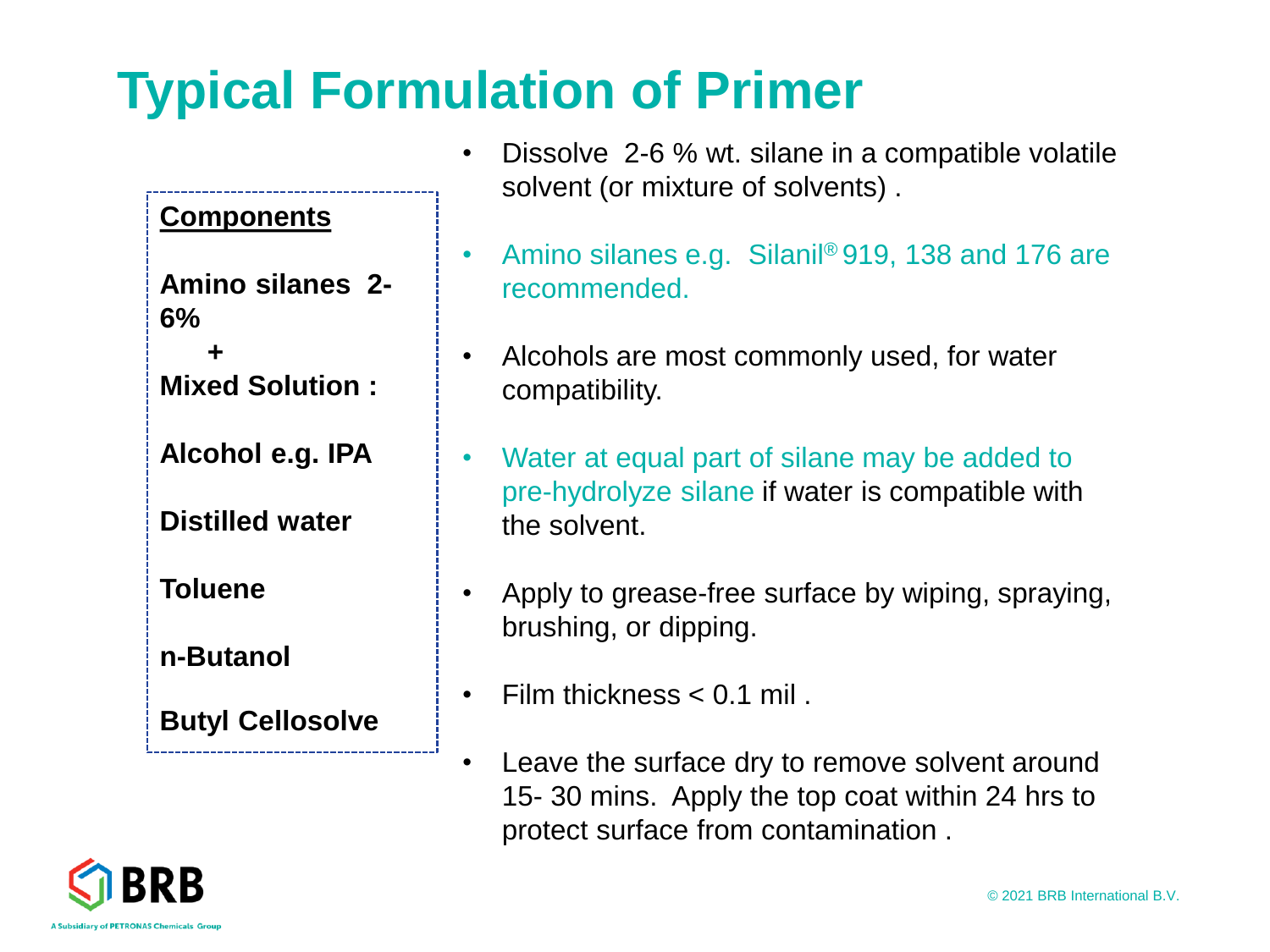### **Typical Formulation of Primer**

#### **Components**

**Amino silanes 2- 6%** 

**+ Mixed Solution :** 

**Alcohol e.g. IPA** 

**Distilled water** 

**Toluene** 

**n-Butanol**

**Butyl Cellosolve**

- Dissolve 2-6 % wt. silane in a compatible volatile solvent (or mixture of solvents) .
- Amino silanes e.g. Silanil<sup>®</sup> 919, 138 and 176 are recommended.
- Alcohols are most commonly used, for water compatibility.
- Water at equal part of silane may be added to pre-hydrolyze silane if water is compatible with the solvent.
- Apply to grease-free surface by wiping, spraying, brushing, or dipping.
- Film thickness < 0.1 mil .
- Leave the surface dry to remove solvent around 15- 30 mins. Apply the top coat within 24 hrs to protect surface from contamination .

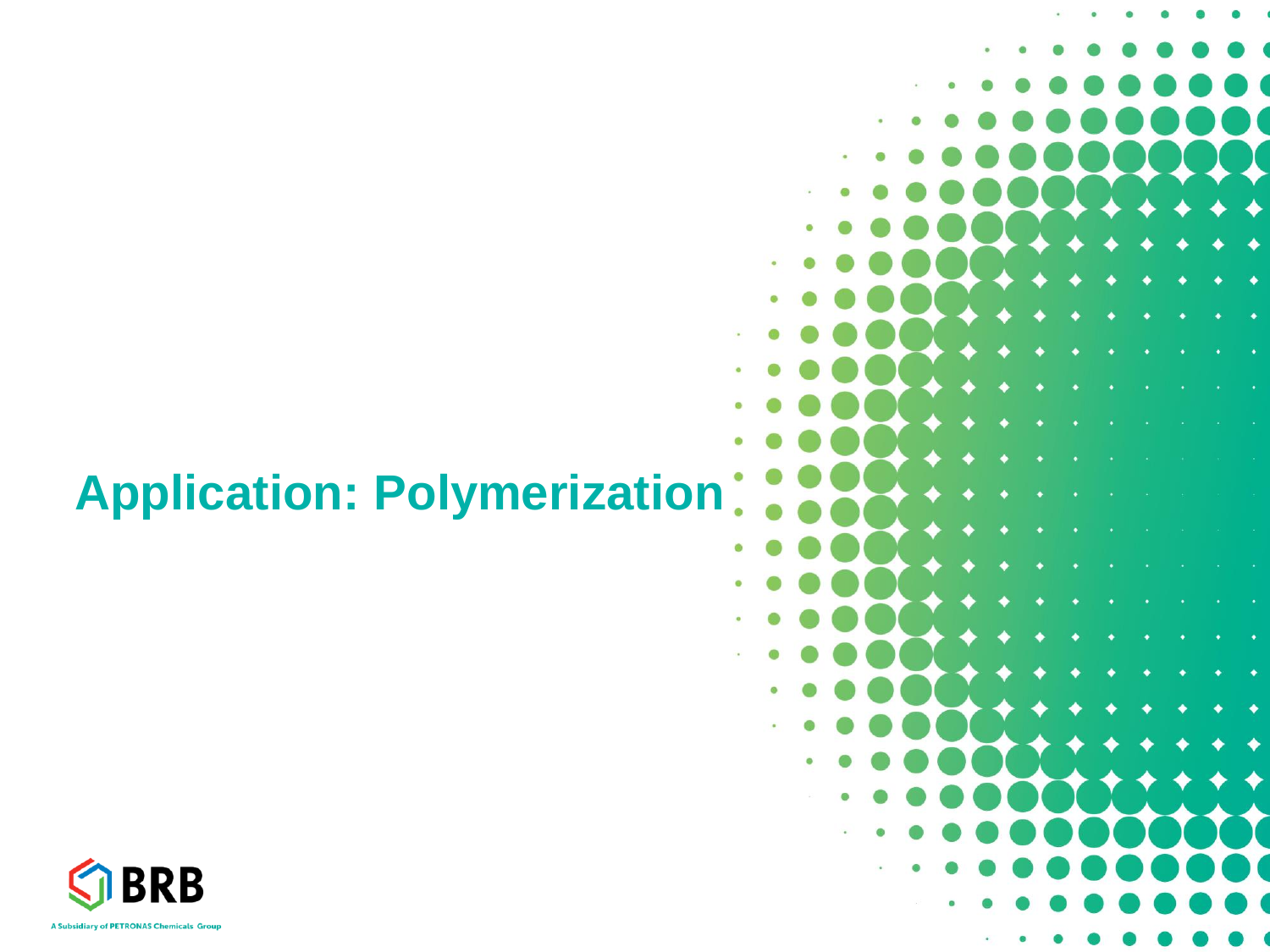### **Application: Polymerization**



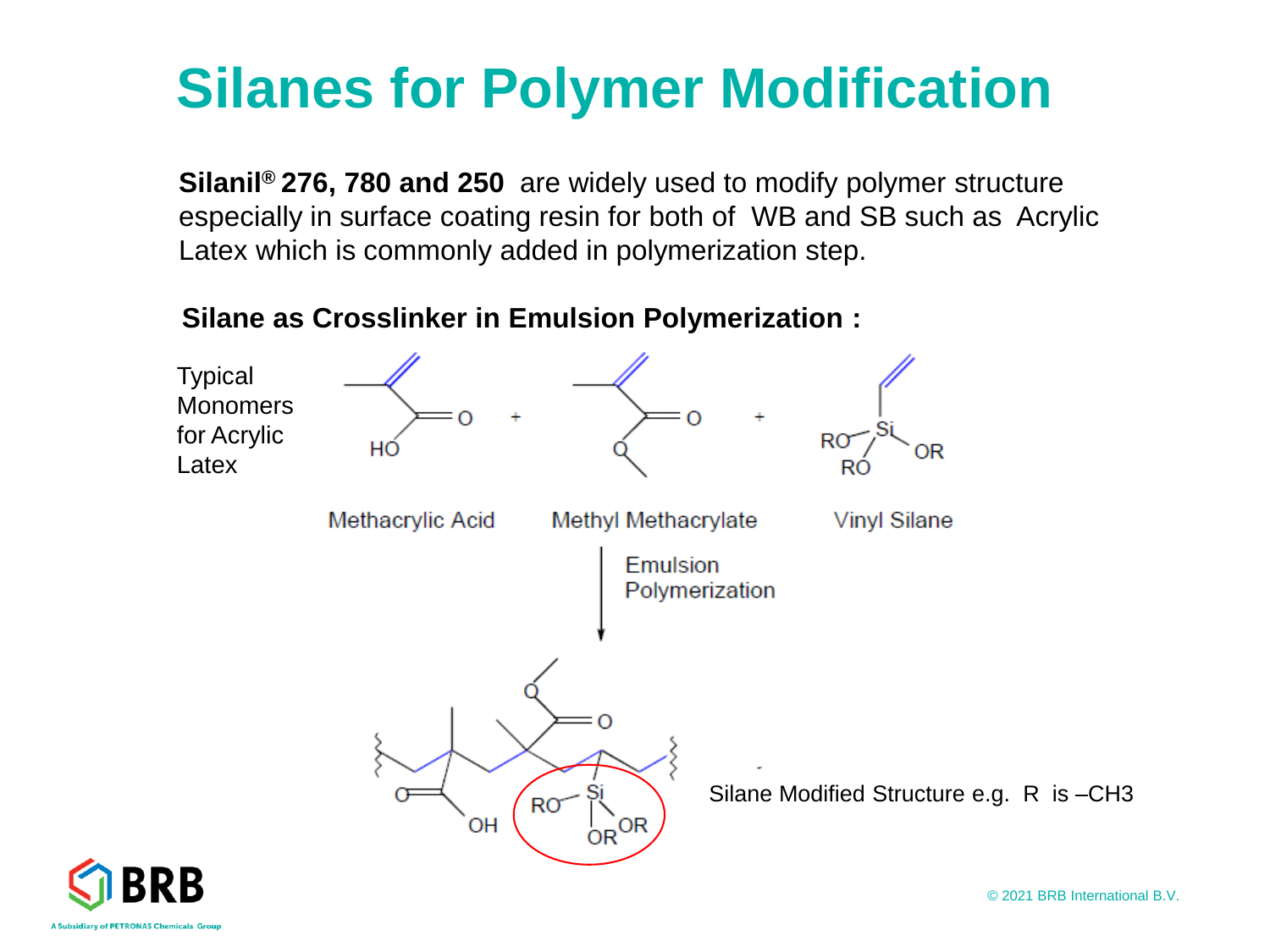### **Silanes for Polymer Modification**

**Silanil® 276, 780 and 250** are widely used to modify polymer structure especially in surface coating resin for both of WB and SB such as Acrylic Latex which is commonly added in polymerization step.





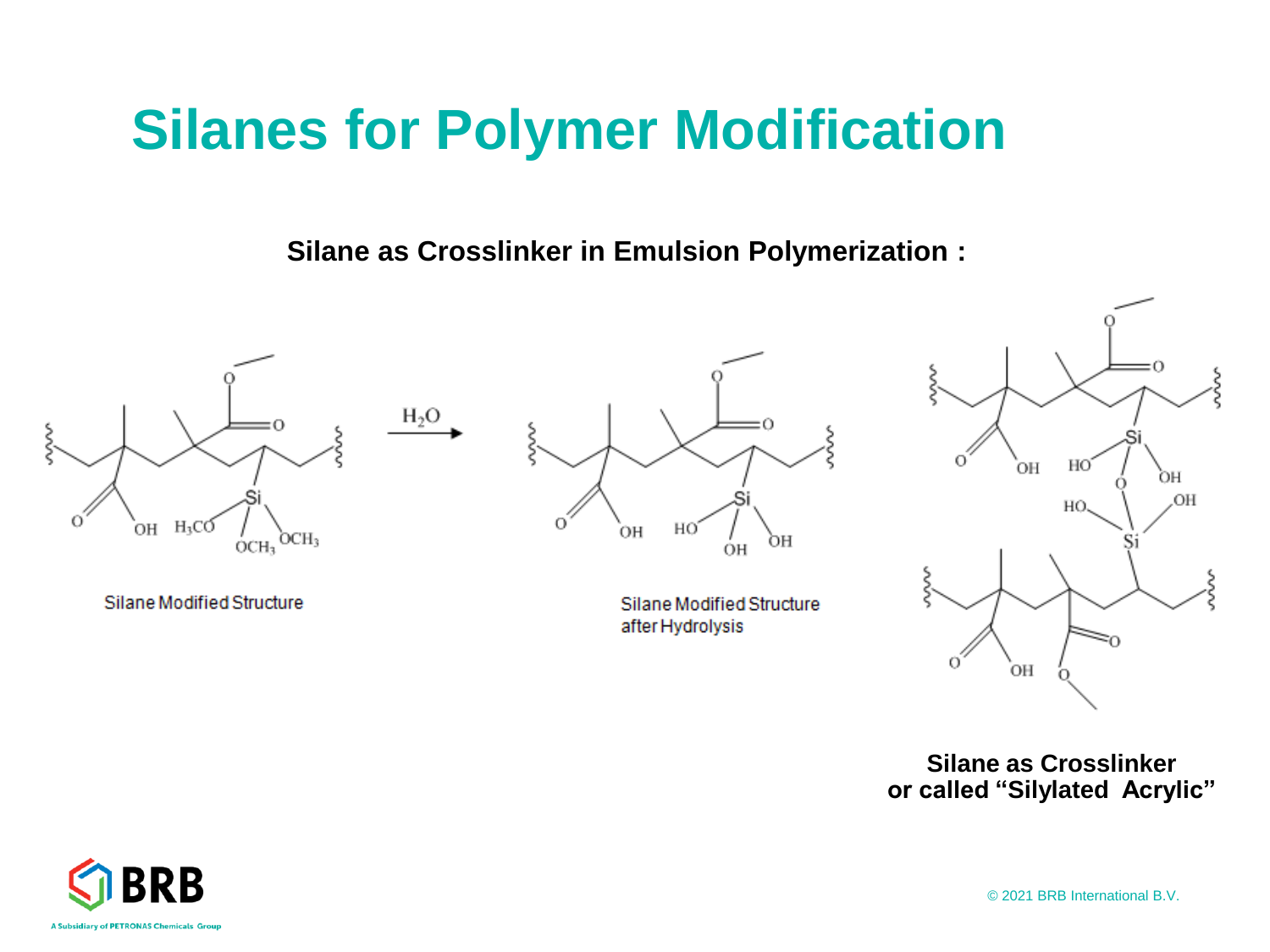### **Silanes for Polymer Modification**

**Silane as Crosslinker in Emulsion Polymerization :** 



Silane Modified Structure



Silane Modified Structure after Hydrolysis



**Silane as Crosslinker or called "Silylated Acrylic"** 



© 2021 BRB International B.V.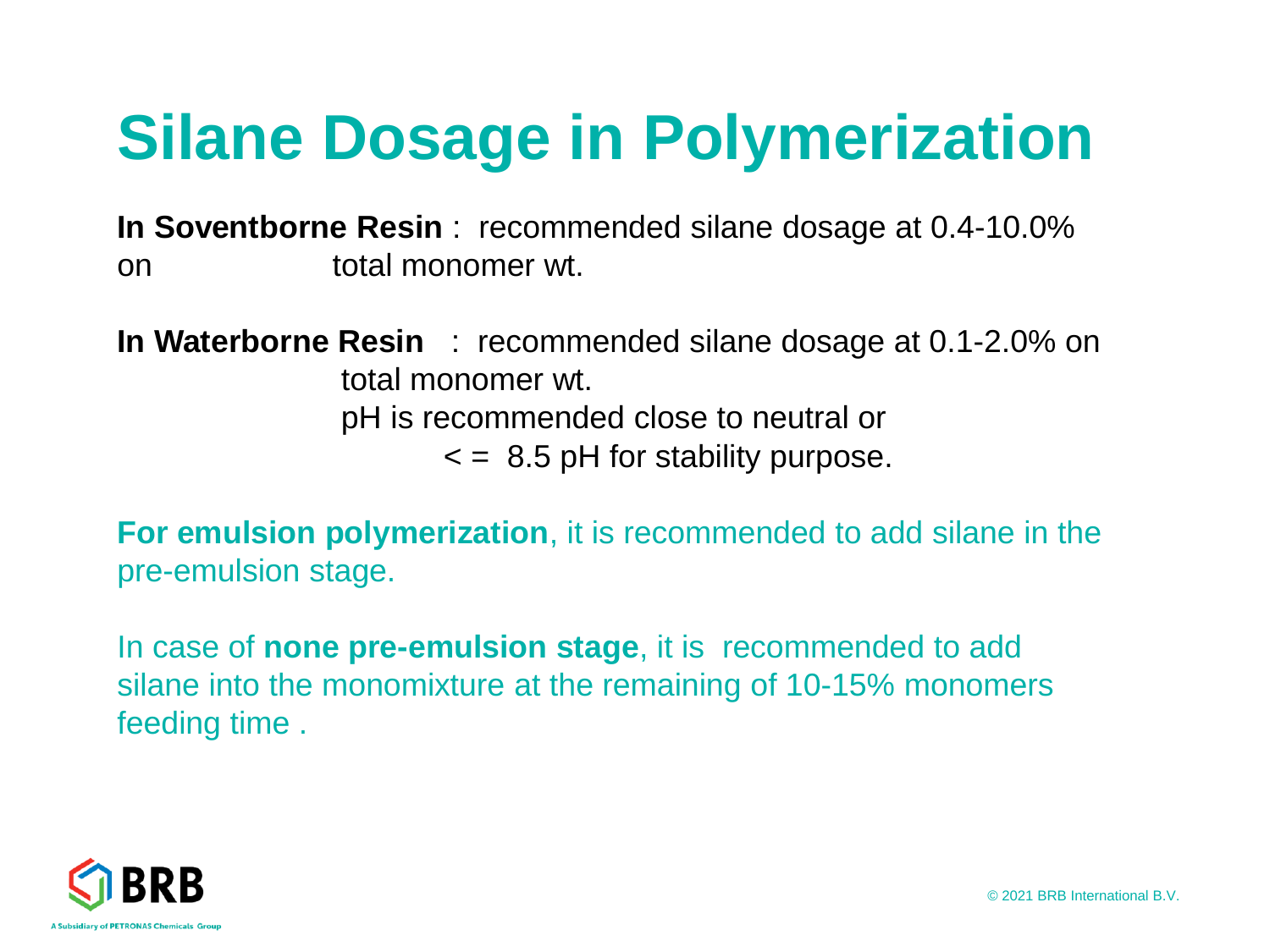# **Silane Dosage in Polymerization**

**In Soventborne Resin** : recommended silane dosage at 0.4-10.0% on total monomer wt.

**In Waterborne Resin** : recommended silane dosage at 0.1-2.0% on total monomer wt. pH is recommended close to neutral or  $\epsilon$  = 8.5 pH for stability purpose.

**For emulsion polymerization**, it is recommended to add silane in the pre-emulsion stage.

In case of **none pre-emulsion stage**, it is recommended to add silane into the monomixture at the remaining of 10-15% monomers feeding time .

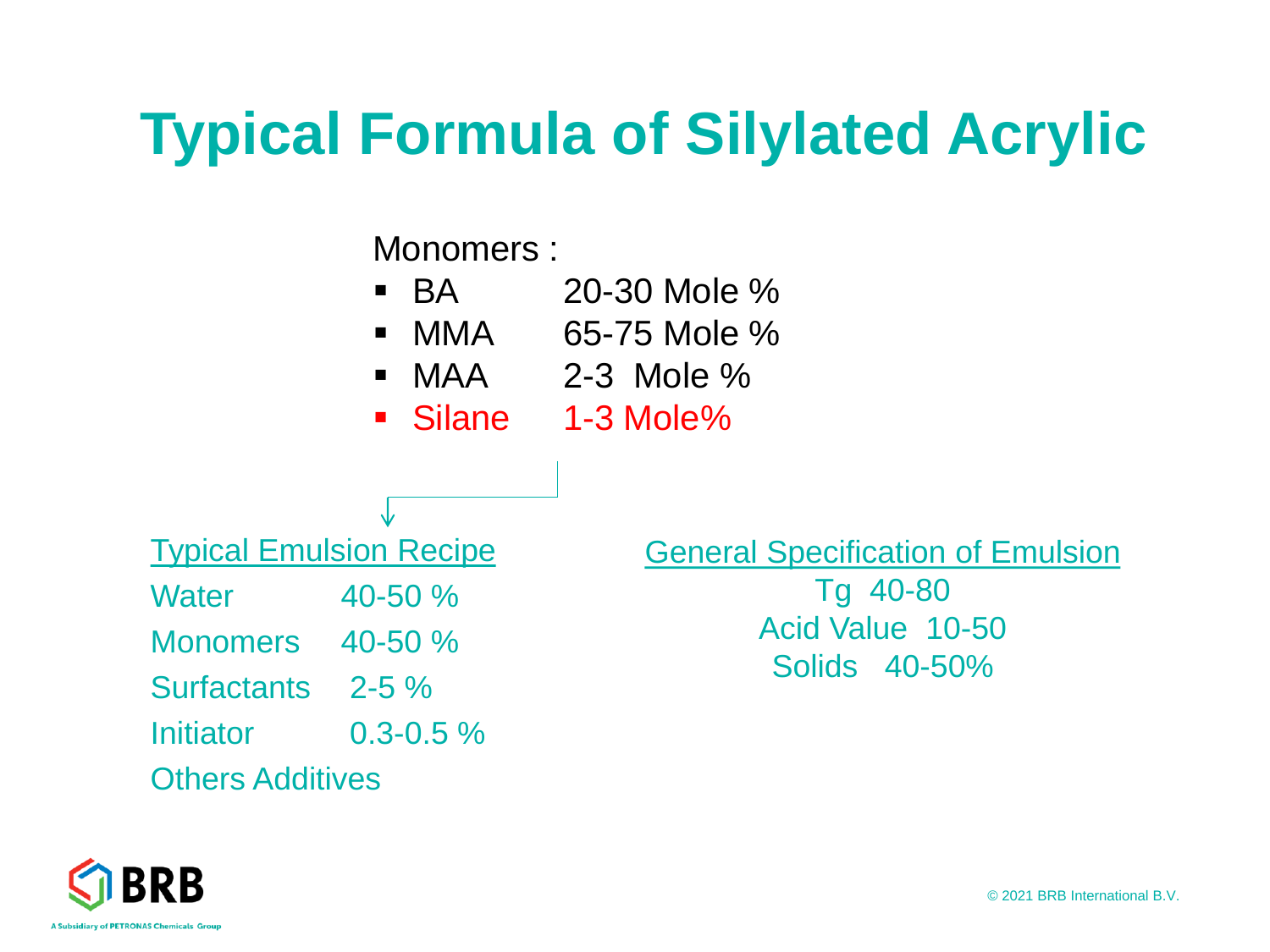# **Typical Formula of Silylated Acrylic**

Monomers :

- $\bullet$  BA  $\bullet$  20-30 Mole %
- $\blacksquare$  MMA 65-75 Mole %
- $\blacksquare$  MAA 2-3 Mole %
- Silane 1-3 Mole%



∿

- Monomers 40-50 %
- Surfactants 2-5 %
- Initiator 0.3-0.5 %

#### Others Additives

General Specification of Emulsion Tg 40-80

Acid Value 10-50 Solids 40-50%

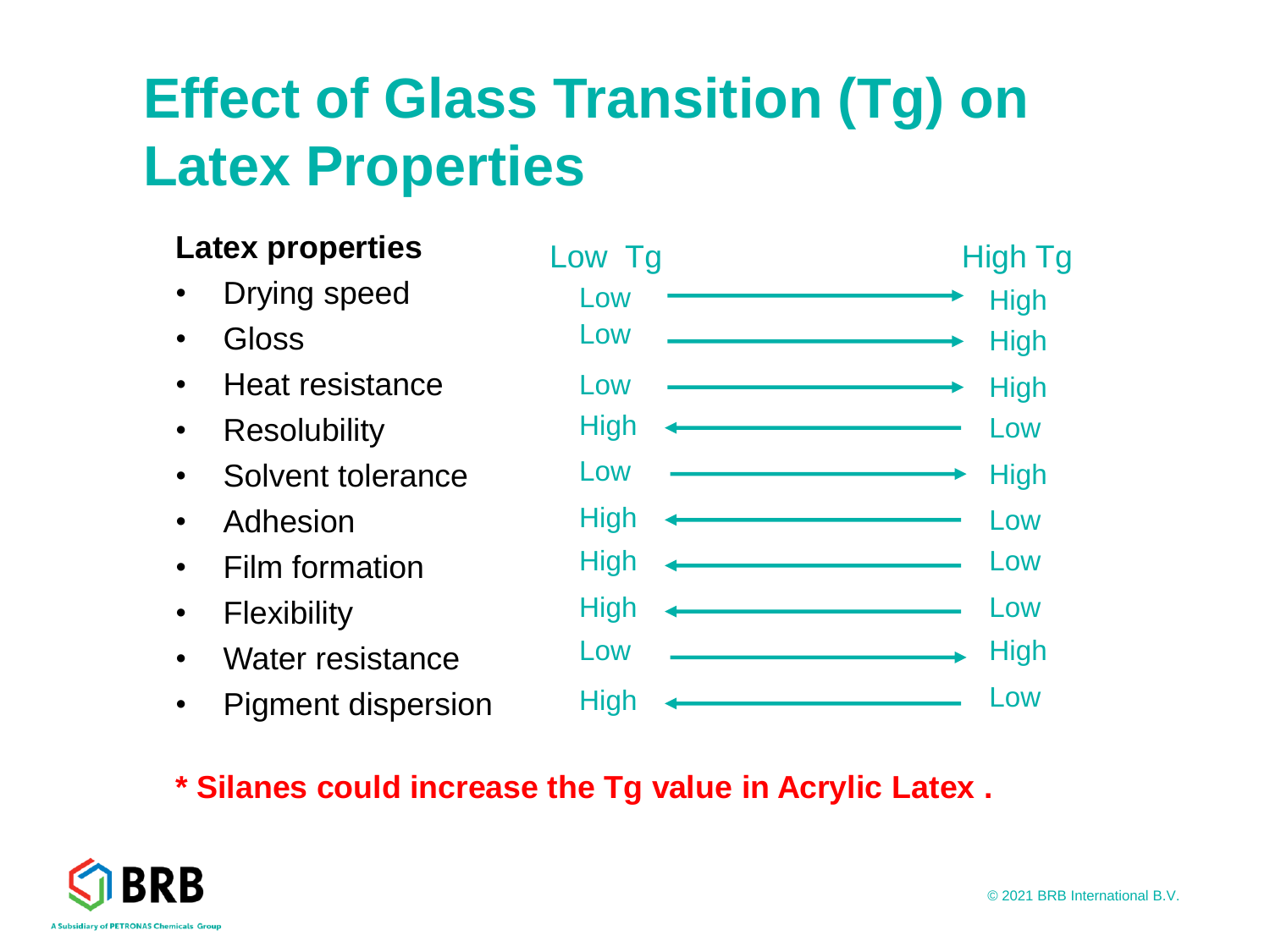### **Effect of Glass Transition (Tg) on Latex Properties**

### **Latex properties**

- Drying speed
- Gloss
- Heat resistance
- Resolubility
- Solvent tolerance
- Adhesion
- Film formation
- Flexibility
- Water resistance
- Pigment dispersion



### **\* Silanes could increase the Tg value in Acrylic Latex .**

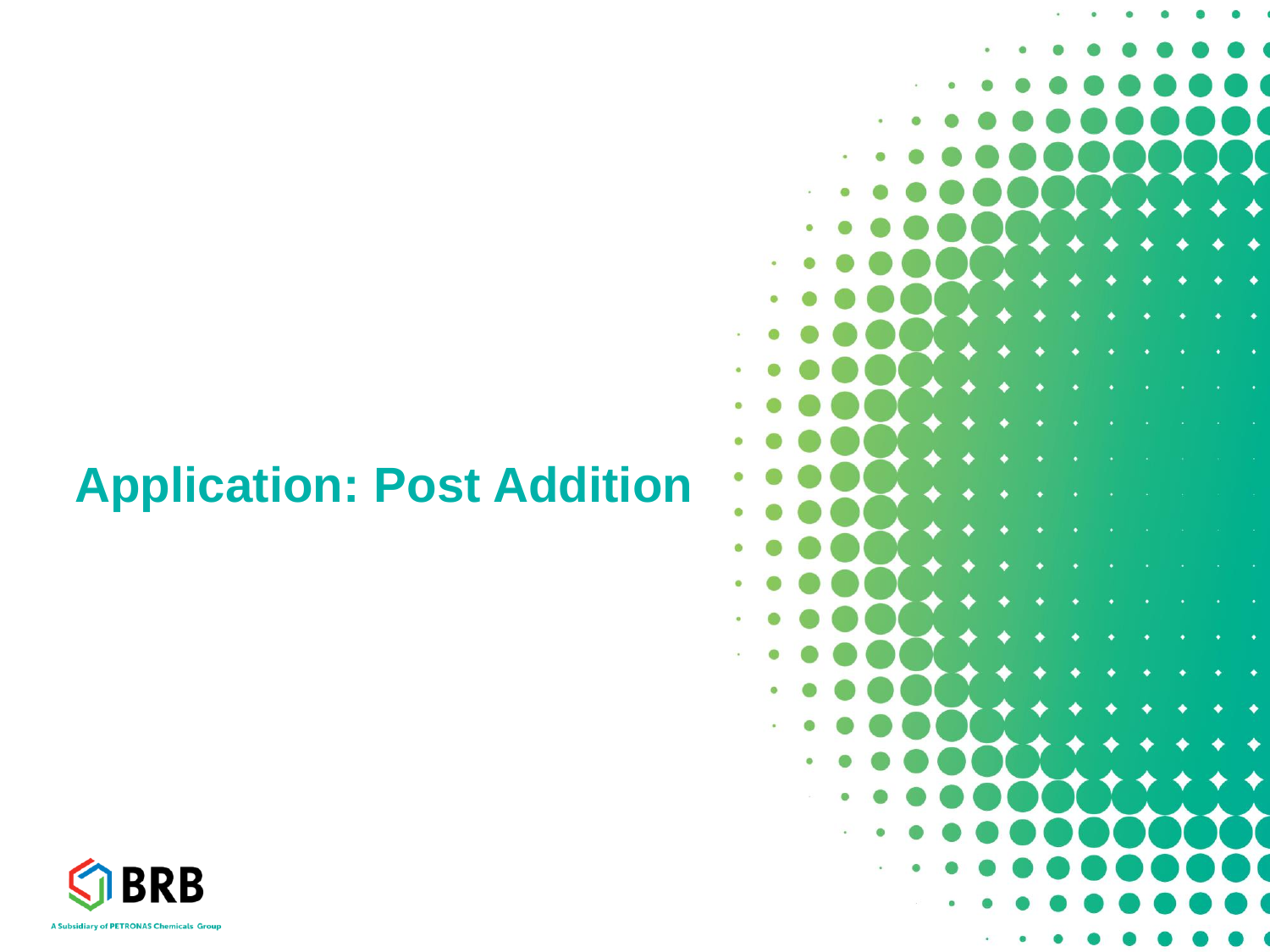### **Application: Post Addition**



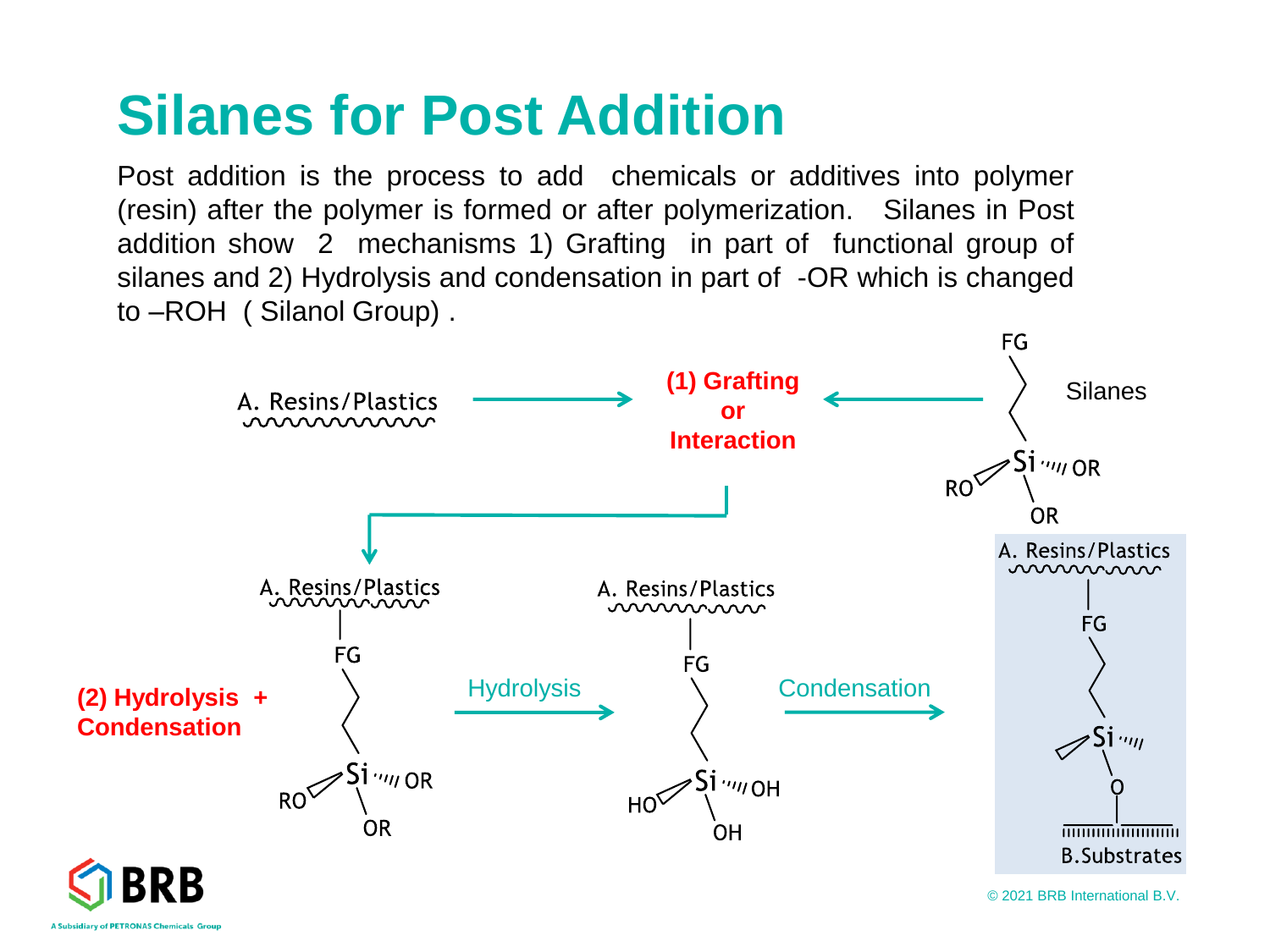### **Silanes for Post Addition**

Post addition is the process to add chemicals or additives into polymer (resin) after the polymer is formed or after polymerization. Silanes in Post addition show 2 mechanisms 1) Grafting in part of functional group of silanes and 2) Hydrolysis and condensation in part of -OR which is changed to –ROH ( Silanol Group) .

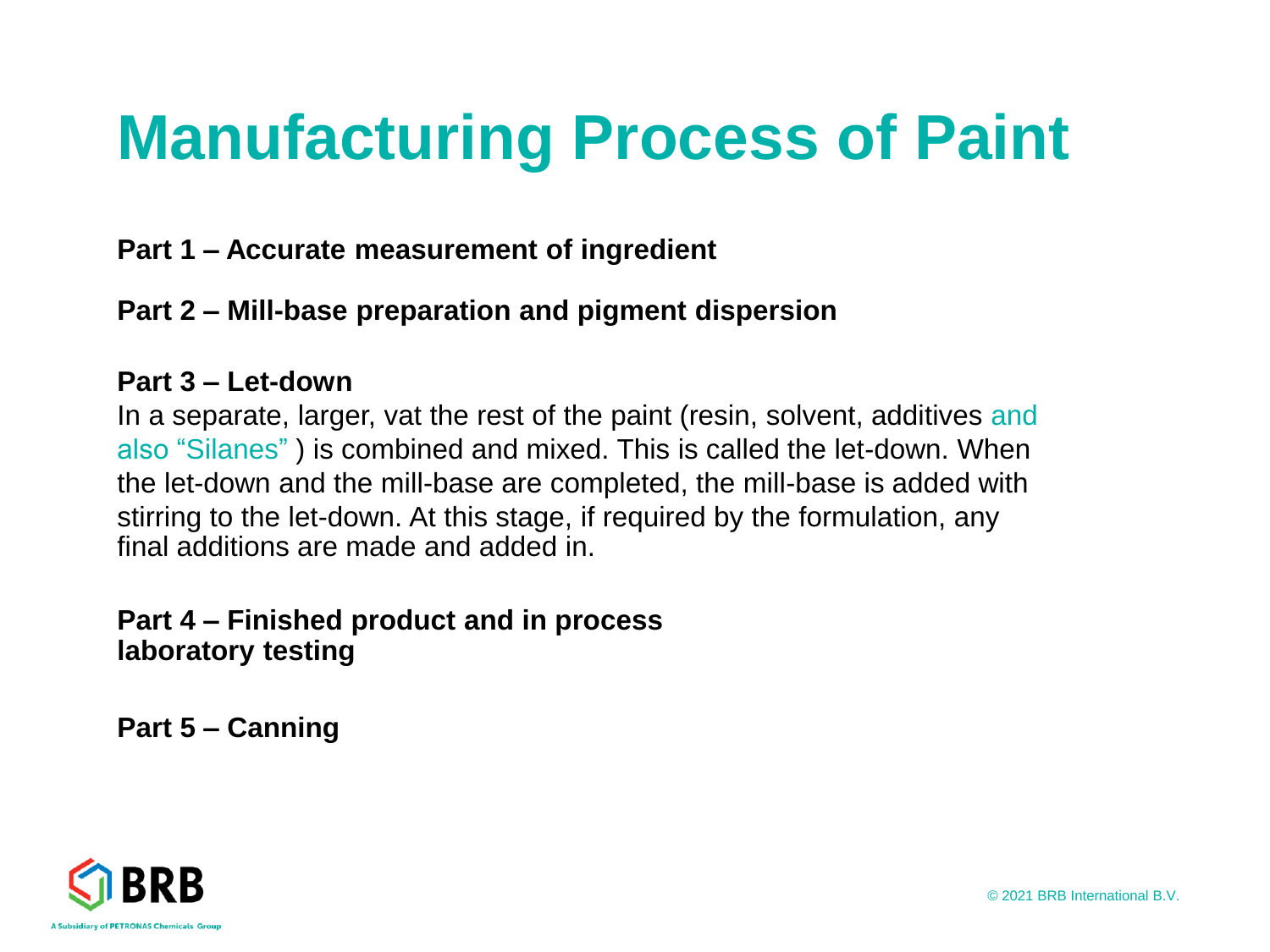# **Manufacturing Process of Paint**

#### **Part 1 – Accurate measurement of ingredient**

#### **Part 2 – Mill-base preparation and pigment dispersion**

#### **Part 3 – Let-down**

In a separate, larger, vat the rest of the paint (resin, solvent, additives and also "Silanes" ) is combined and mixed. This is called the let-down. When the let-down and the mill-base are completed, the mill-base is added with stirring to the let-down. At this stage, if required by the formulation, any final additions are made and added in.

#### **Part 4 – Finished product and in process laboratory testing**

**Part 5 – Canning**

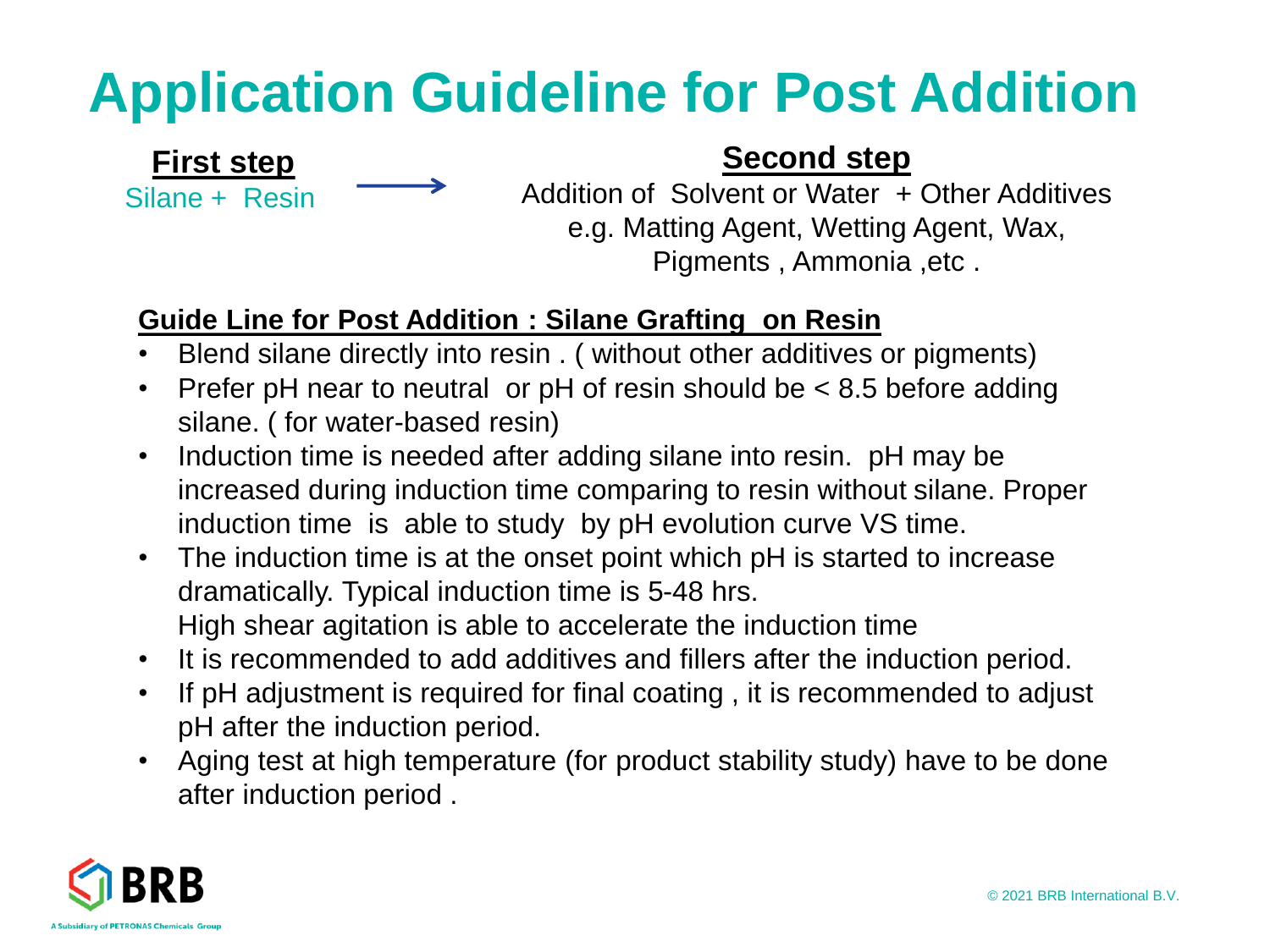### **Application Guideline for Post Addition**

#### **First step** Silane + Resin

#### **Second step**

Addition of Solvent or Water + Other Additives e.g. Matting Agent, Wetting Agent, Wax, Pigments , Ammonia ,etc .

#### **Guide Line for Post Addition : Silane Grafting on Resin**

- Blend silane directly into resin . ( without other additives or pigments)
- Prefer pH near to neutral or pH of resin should be < 8.5 before adding silane. ( for water-based resin)
- Induction time is needed after adding silane into resin. pH may be increased during induction time comparing to resin without silane. Proper induction time is able to study by pH evolution curve VS time.
- The induction time is at the onset point which pH is started to increase dramatically. Typical induction time is 5-48 hrs. High shear agitation is able to accelerate the induction time
- It is recommended to add additives and fillers after the induction period.
- If pH adjustment is required for final coating , it is recommended to adjust pH after the induction period.
- Aging test at high temperature (for product stability study) have to be done after induction period .

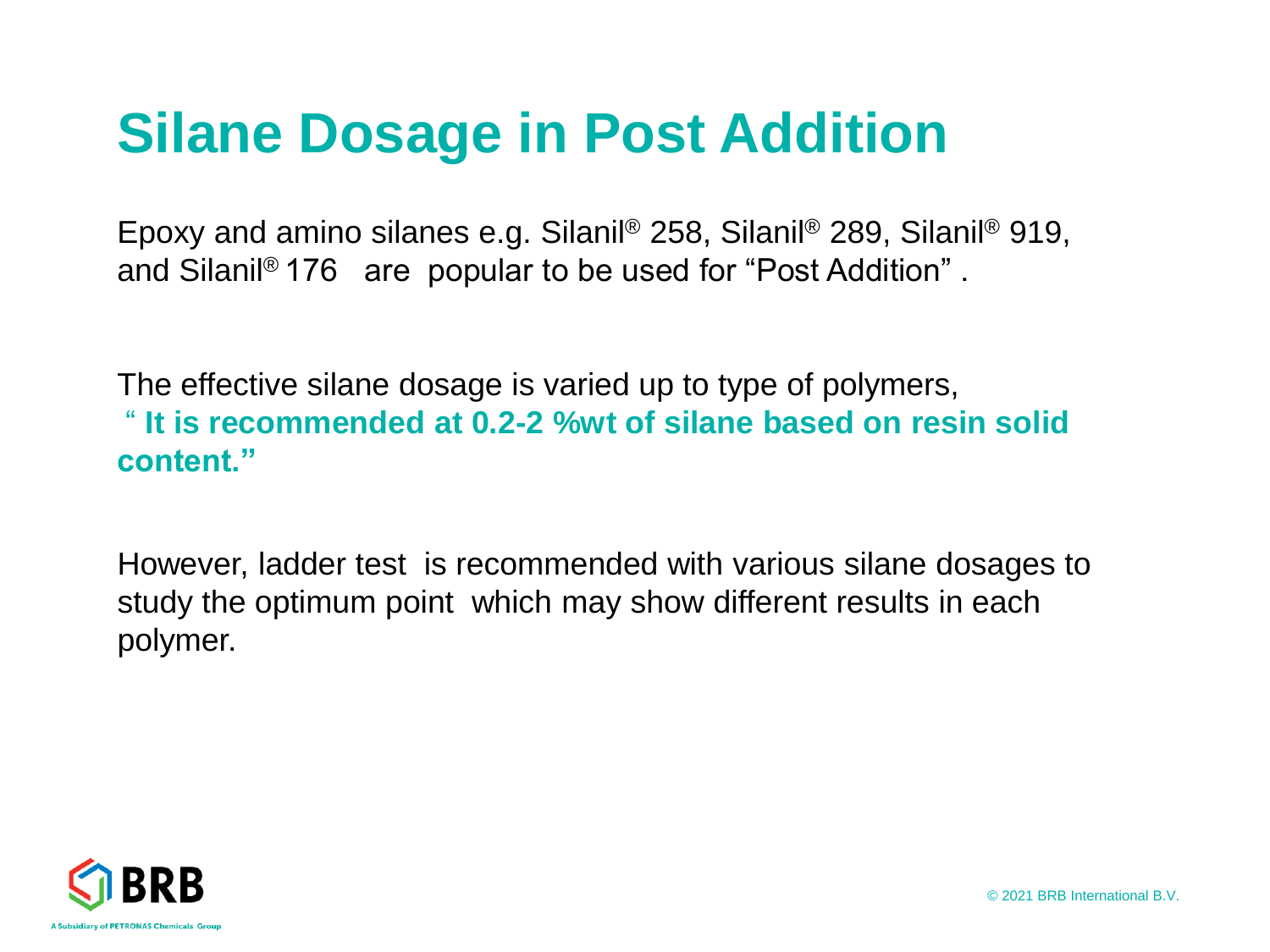### **Silane Dosage in Post Addition**

Epoxy and amino silanes e.g. Silanil® 258, Silanil® 289, Silanil® 919, and Silanil® 176 are popular to be used for "Post Addition" .

The effective silane dosage is varied up to type of polymers, " **It is recommended at 0.2-2 %wt of silane based on resin solid content."**

However, ladder test is recommended with various silane dosages to study the optimum point which may show different results in each polymer.



© 2021 BRB International B.V.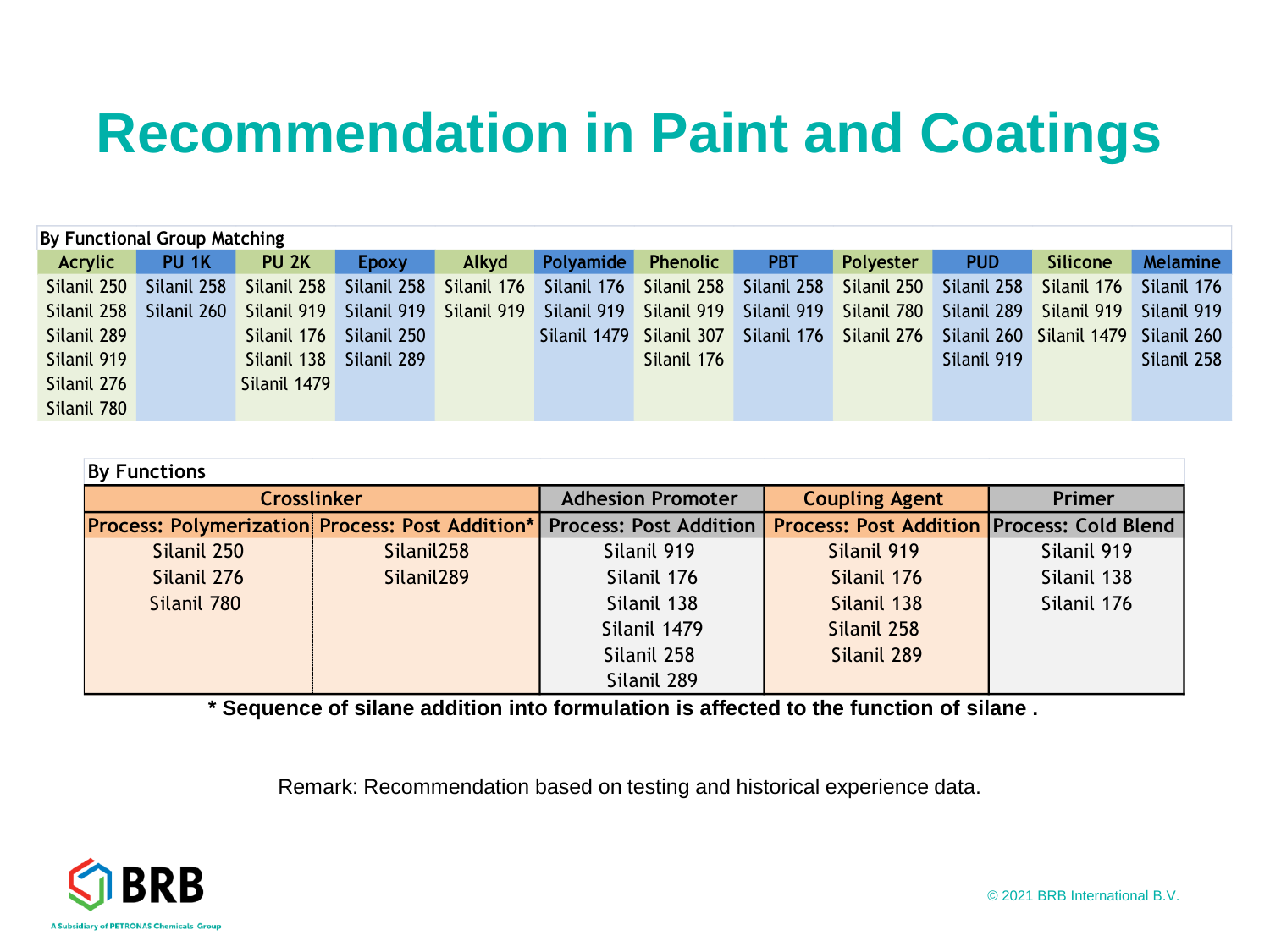### **Recommendation in Paint and Coatings**

| By Functional Group Matching |                  |                  |              |             |              |                 |             |             |             |                 |                 |
|------------------------------|------------------|------------------|--------------|-------------|--------------|-----------------|-------------|-------------|-------------|-----------------|-----------------|
| Acrylic                      | PU <sub>1K</sub> | PU <sub>2K</sub> | <b>Epoxy</b> | Alkyd       | Polyamide    | <b>Phenolic</b> | <b>PBT</b>  | Polyester   | <b>PUD</b>  | <b>Silicone</b> | <b>Melamine</b> |
| Silanil 250                  | Silanil 258      | Silanil 258      | Silanil 258  | Silanil 176 | Silanil 176  | Silanil 258     | Silanil 258 | Silanil 250 | Silanil 258 | Silanil 176     | Silanil 176     |
| Silanil 258                  | Silanil 260      | Silanil 919      | Silanil 919  | Silanil 919 | Silanil 919  | Silanil 919     | Silanil 919 | Silanil 780 | Silanil 289 | Silanil 919     | Silanil 919     |
| Silanil 289                  |                  | Silanil 176      | Silanil 250  |             | Silanil 1479 | Silanil 307     | Silanil 176 | Silanil 276 | Silanil 260 | Silanil 1479    | Silanil 260     |
| Silanil 919                  |                  | Silanil 138      | Silanil 289  |             |              | Silanil 176     |             |             | Silanil 919 |                 | Silanil 258     |
| Silanil 276                  |                  | Silanil 1479     |              |             |              |                 |             |             |             |                 |                 |
| Silanil 780                  |                  |                  |              |             |              |                 |             |             |             |                 |                 |

| <b>By Functions</b>                                                           |                        |                          |                                                     |               |
|-------------------------------------------------------------------------------|------------------------|--------------------------|-----------------------------------------------------|---------------|
|                                                                               | <b>Crosslinker</b>     | <b>Adhesion Promoter</b> | <b>Coupling Agent</b>                               | <b>Primer</b> |
| <b>Process: Polymerization Process: Post Addition*</b> Process: Post Addition |                        |                          | <b>Process: Post Addition   Process: Cold Blend</b> |               |
| Silanil 250                                                                   | Silanil <sub>258</sub> | Silanil 919              | Silanil 919                                         | Silanil 919   |
| Silanil 276                                                                   | Silanil <sub>289</sub> | Silanil 176              | Silanil 176                                         | Silanil 138   |
| Silanil 780                                                                   |                        | Silanil 138              | Silanil 138                                         | Silanil 176   |
|                                                                               |                        | Silanil 1479             | Silanil 258                                         |               |
|                                                                               |                        | Silanil 258              | Silanil 289                                         |               |
|                                                                               |                        | Silanil 289              |                                                     |               |

**\* Sequence of silane addition into formulation is affected to the function of silane .** 

Remark: Recommendation based on testing and historical experience data.

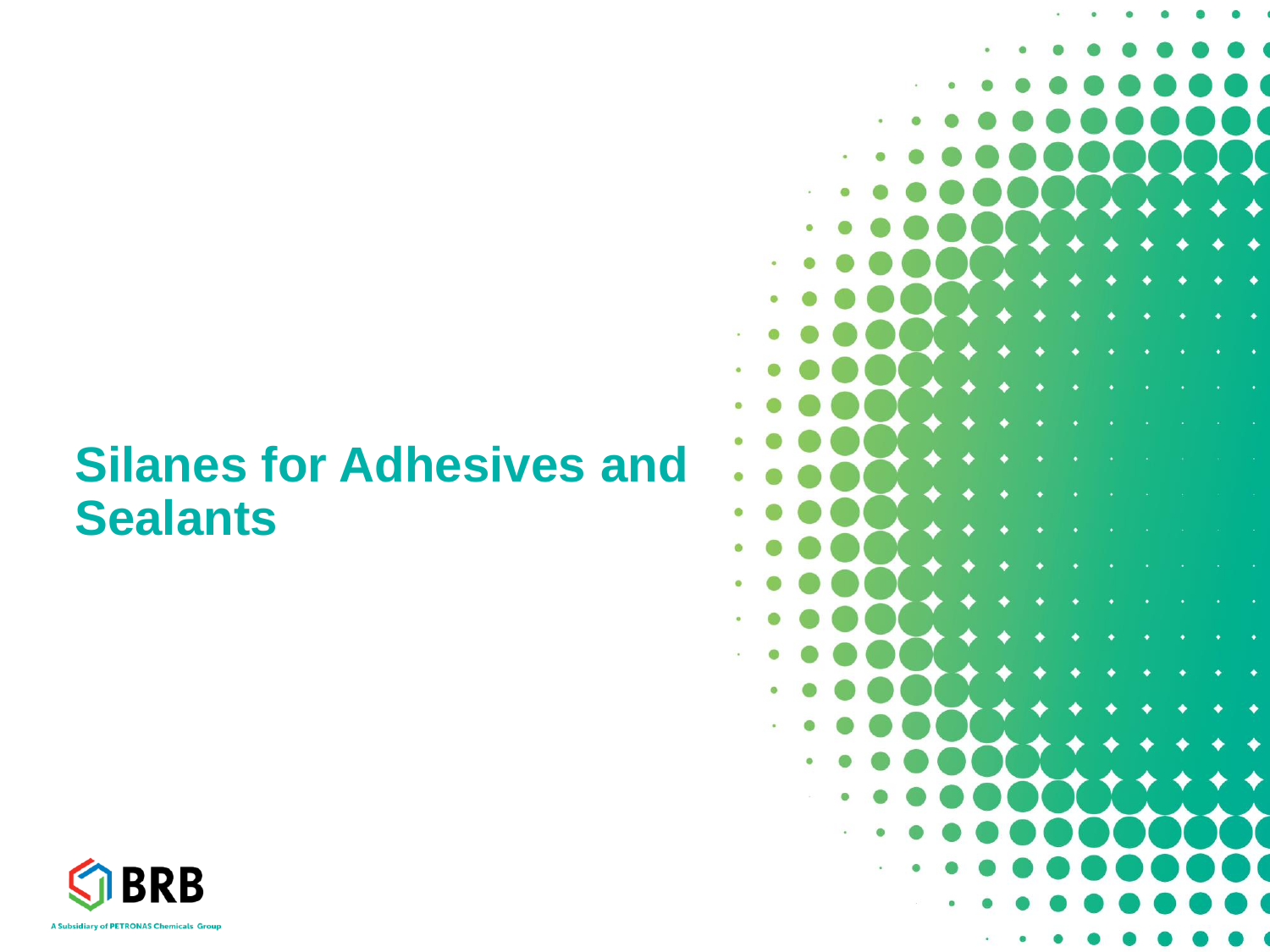### **Silanes for Adhesives and Sealants**



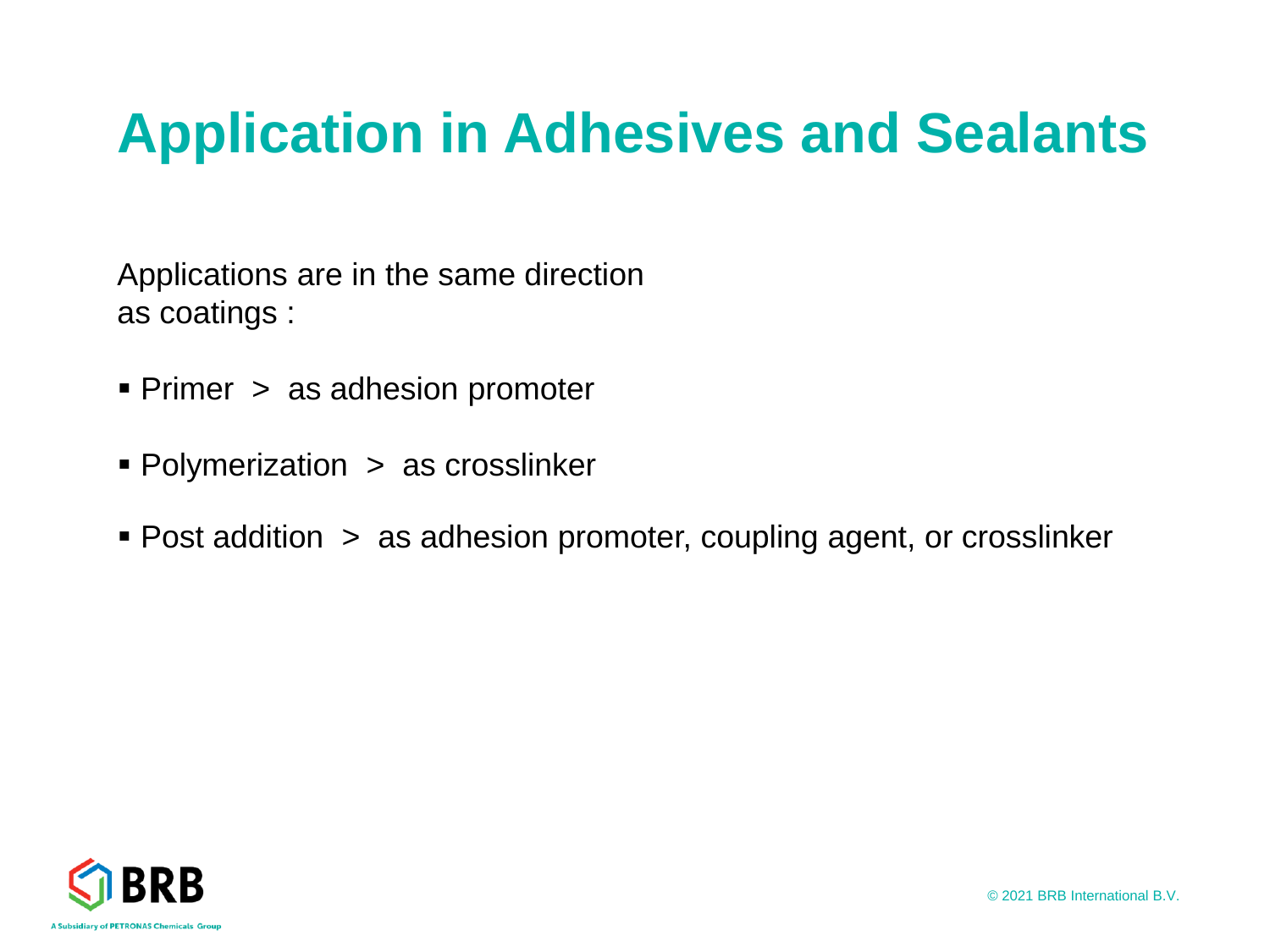### **Application in Adhesives and Sealants**

Applications are in the same direction as coatings :

- Primer > as adhesion promoter
- Polymerization > as crosslinker
- Post addition > as adhesion promoter, coupling agent, or crosslinker

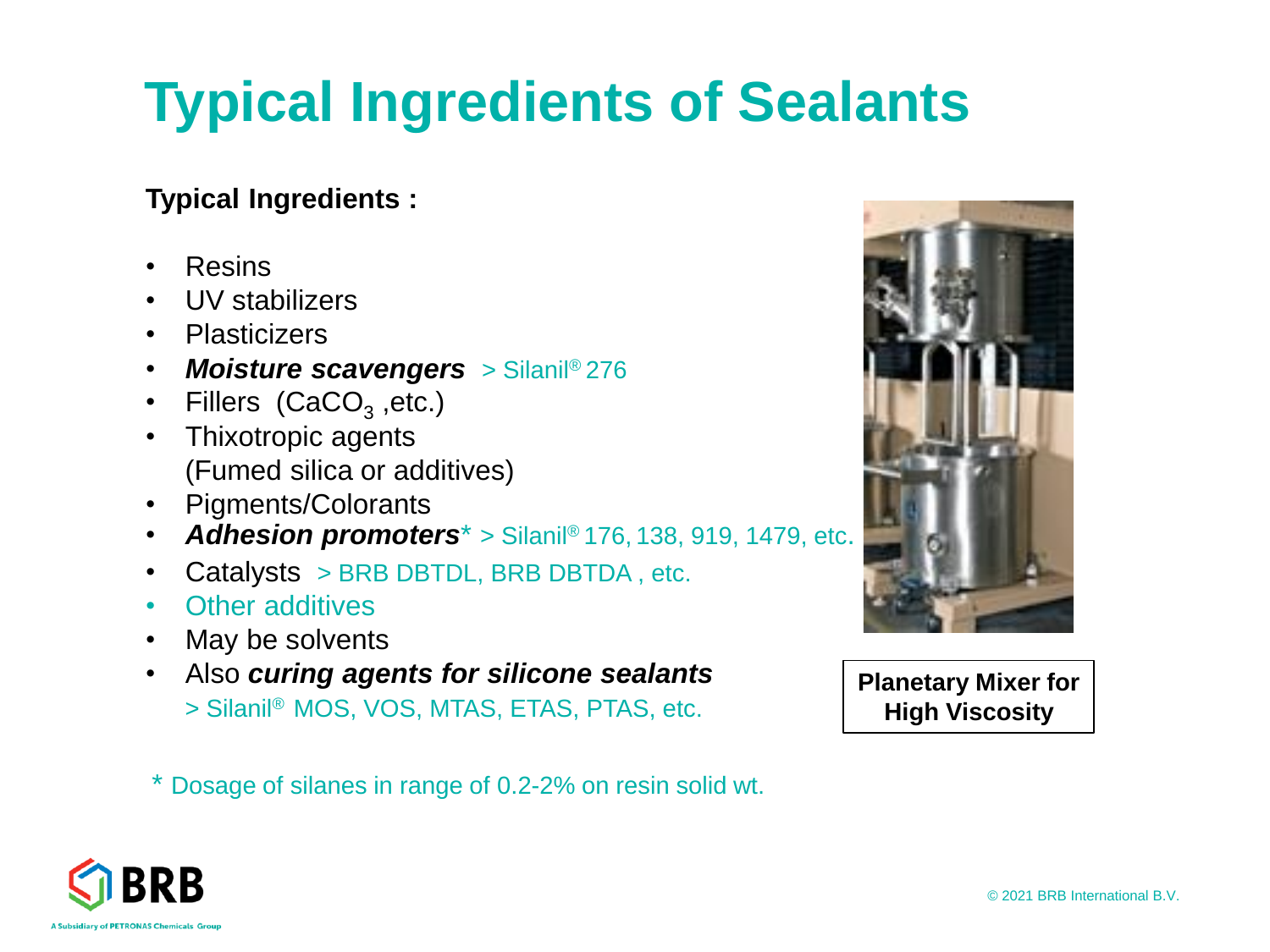# **Typical Ingredients of Sealants**

#### **Typical Ingredients :**

- Resins
- UV stabilizers
- Plasticizers
- *Moisture scavengers* > Silanil® 276
- Fillers (CaCO<sub>3</sub>, etc.)
- Thixotropic agents (Fumed silica or additives)
- Pigments/Colorants
- *Adhesion promoters*\* > Silanil® 176, 138, 919, 1479, etc.
- Catalysts > BRB DBTDL, BRB DBTDA, etc.
- Other additives
- May be solvents
- Also *curing agents for silicone sealants* > Silanil® MOS, VOS, MTAS, ETAS, PTAS, etc.

\* Dosage of silanes in range of 0.2-2% on resin solid wt.



**Planetary Mixer for High Viscosity** 

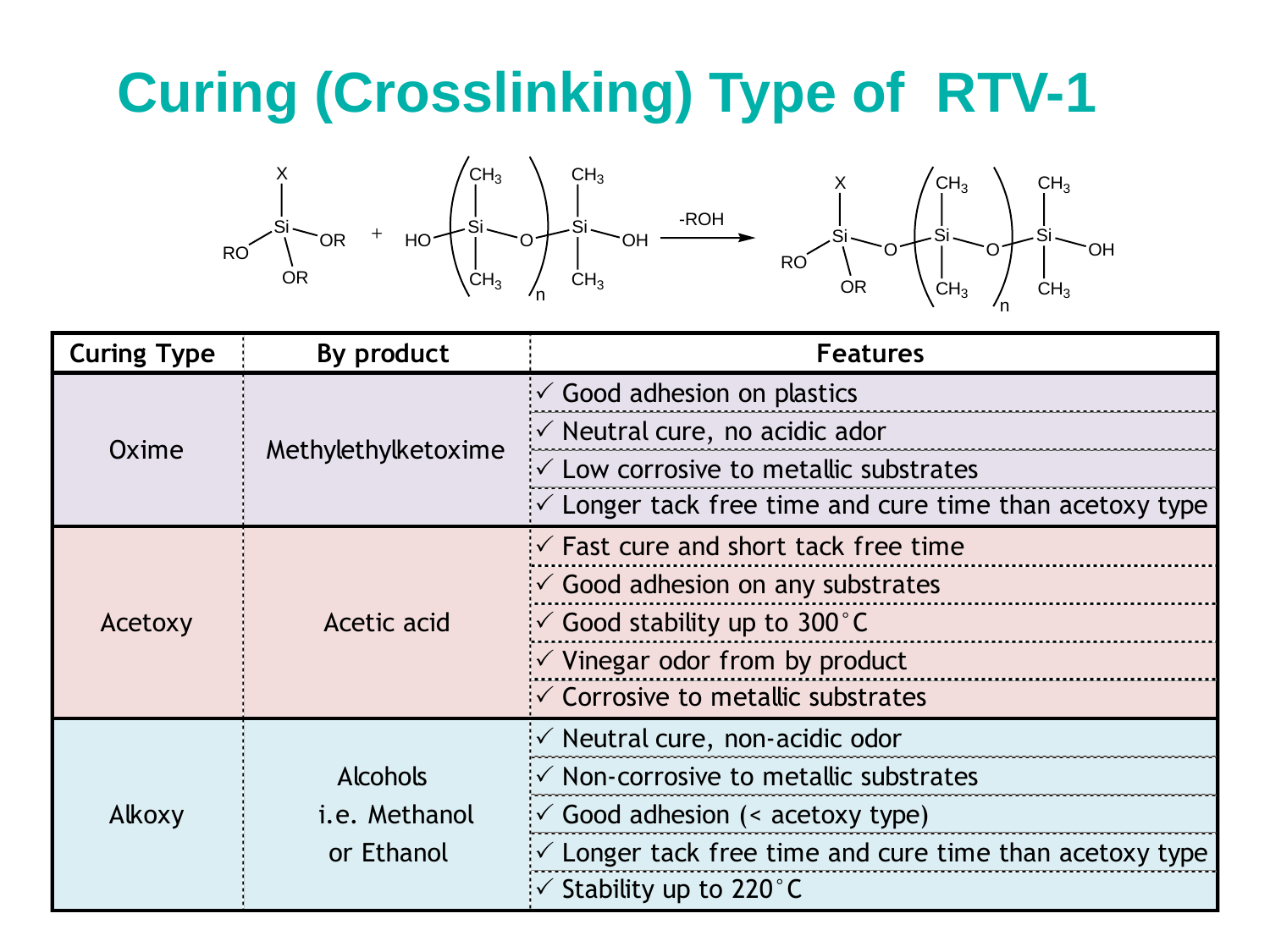## **Curing (Crosslinking) Type of RTV-1**



| <b>Curing Type</b> | By product                              | <b>Features</b>                                                    |
|--------------------|-----------------------------------------|--------------------------------------------------------------------|
|                    |                                         | $\checkmark$ Good adhesion on plastics                             |
| Oxime              | Methylethylketoxime                     | $\sqrt{2}$ Neutral cure, no acidic ador                            |
|                    |                                         | $\sqrt{2}$ Low corrosive to metallic substrates                    |
|                    |                                         | $\sqrt{2}$ Longer tack free time and cure time than acetoxy type   |
|                    |                                         | $\sqrt{2}$ Fast cure and short tack free time                      |
| Acetoxy            | Acetic acid                             | $\checkmark$ Good adhesion on any substrates                       |
|                    |                                         | $\sim$ Good stability up to 300 °C                                 |
|                    |                                         | $\checkmark$ Vinegar odor from by product                          |
|                    |                                         | $\checkmark$ Corrosive to metallic substrates                      |
|                    |                                         | $\sim$ Neutral cure, non-acidic odor                               |
|                    | <b>Alcohols</b><br><i>i.e.</i> Methanol | $\checkmark$ Non-corrosive to metallic substrates                  |
| Alkoxy             |                                         | $\sqrt{2}$ Good adhesion (< acetoxy type)                          |
|                    | or Ethanol                              | $\checkmark$ Longer tack free time and cure time than acetoxy type |
|                    |                                         | $\sim$ Stability up to 220 °C                                      |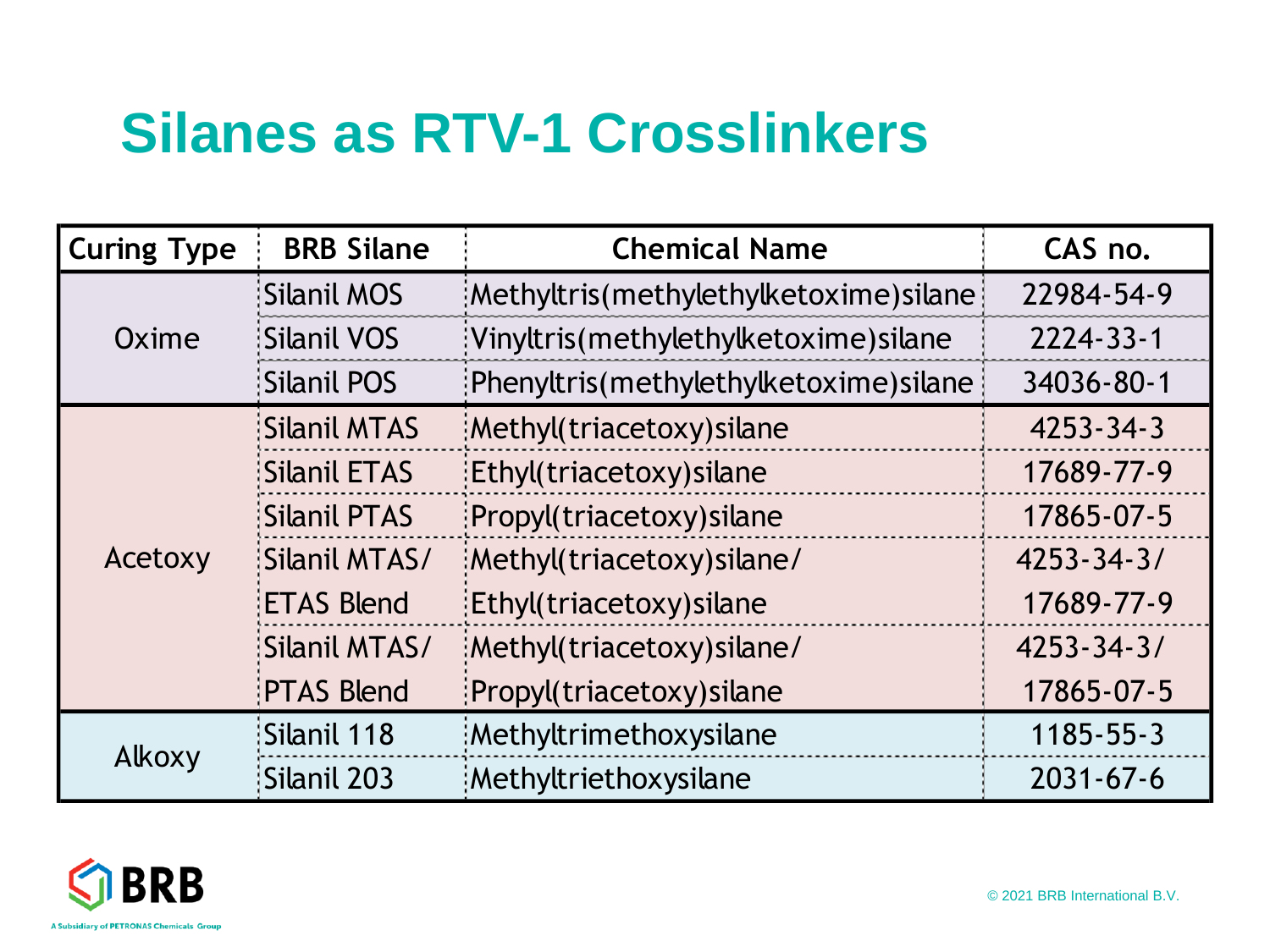### **Silanes as RTV-1 Crosslinkers**

| <b>Curing Type</b> | <b>BRB Silane</b>   | <b>Chemical Name</b>                   | CAS no.          |
|--------------------|---------------------|----------------------------------------|------------------|
|                    | <b>Silanil MOS</b>  | :Methyltris(methylethylketoxime)silane | 22984-54-9       |
| Oxime              | <b>Silanil VOS</b>  | Vinyltris(methylethylketoxime) silane  | 2224-33-1        |
|                    | <b>Silanil POS</b>  | Phenyltris(methylethylketoxime) silane | 34036-80-1       |
|                    | <b>Silanil MTAS</b> | Methyl(triacetoxy) silane              | $4253 - 34 - 3$  |
|                    | <b>Silanil ETAS</b> | :Ethyl(triacetoxy) silane              | 17689-77-9       |
|                    | <b>Silanil PTAS</b> | : Propyl(triacetoxy) silane            | 17865-07-5       |
| Acetoxy            | Silanil MTAS/       | Methyl(triacetoxy) silane/             | $4253 - 34 - 3/$ |
|                    | <b>ETAS Blend</b>   | Ethyl(triacetoxy) silane               | 17689-77-9       |
|                    | Silanil MTAS/       | :Methyl(triacetoxy)silane/             | $4253 - 34 - 3/$ |
|                    | <b>PTAS Blend</b>   | Propyl(triacetoxy) silane              | 17865-07-5       |
|                    | Silanil 118         | Methyltrimethoxysilane                 | 1185-55-3        |
| Alkoxy             | Silanil 203         | Methyltriethoxysilane                  | $2031 - 67 - 6$  |

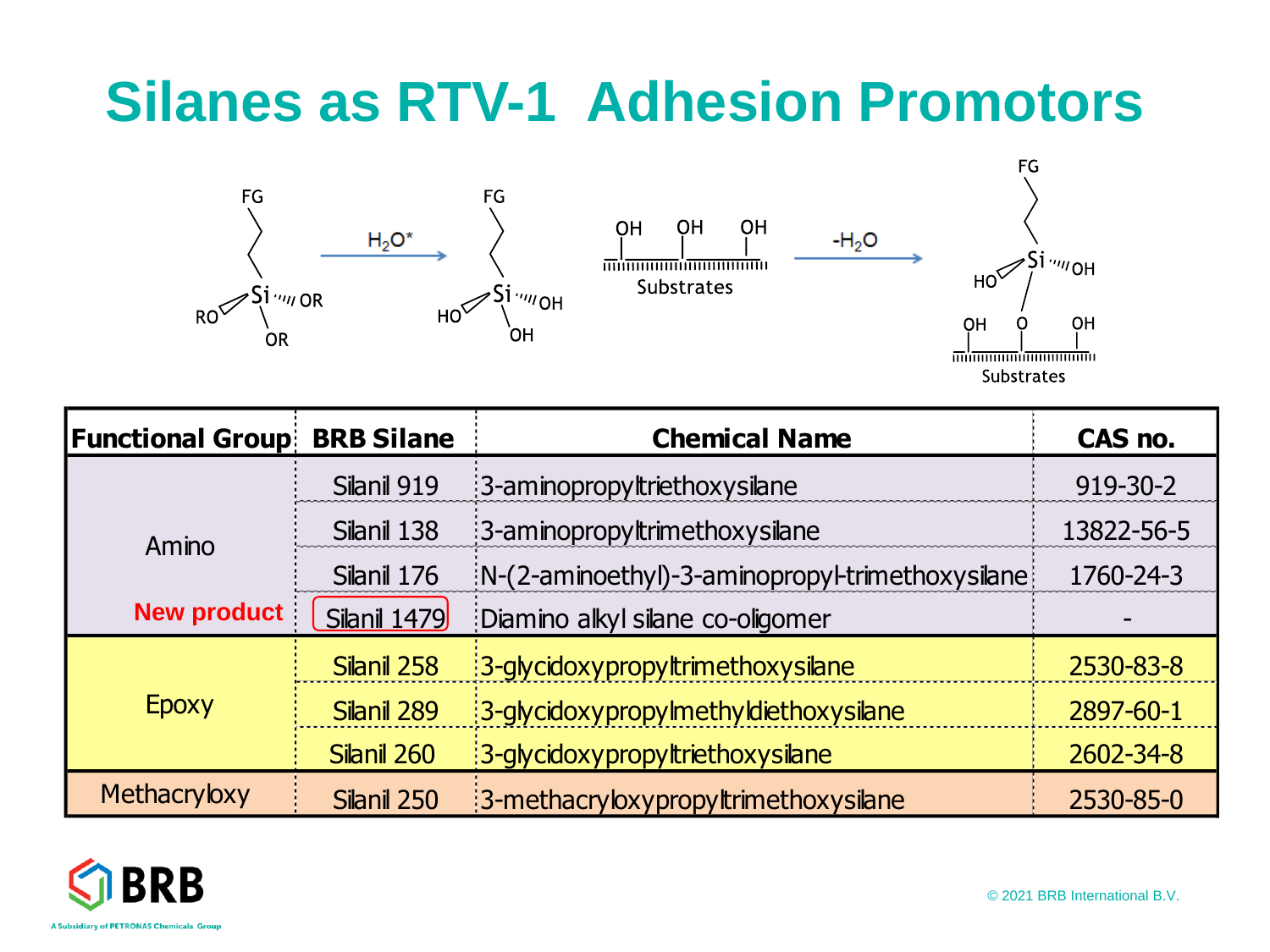### **Silanes as RTV-1 Adhesion Promotors**



**Substrates** 

| <b>Functional Group!</b> | <b>BRB Silane</b>   | <b>Chemical Name</b>                               | CAS no.    |
|--------------------------|---------------------|----------------------------------------------------|------------|
|                          | Silanil 919         | :3-aminopropyltriethoxysilane                      | 919-30-2   |
| Amino                    | Silanil 138         | 3-aminopropyltrimethoxysilane                      | 13822-56-5 |
|                          | Silanil 176         | $N-(2$ -aminoethyl)-3-aminopropyl-trimethoxysilane | 1760-24-3  |
| <b>New product</b>       | <b>Silanil 1479</b> | :Diamino alkyl silane co-oligomer                  |            |
|                          | Silanil 258         | 3-glycidoxypropyltrimethoxysilane                  | 2530-83-8  |
| Epoxy                    | Silanil 289         | :3-glycidoxypropylmethyldiethoxysilane             | 2897-60-1  |
|                          | Silanil 260         | 3-glycidoxypropyltriethoxysilane                   | 2602-34-8  |
| Methacryloxy             | Silanil 250         | :3-methacryloxypropyltrimethoxysilane              | 2530-85-0  |



© 2021 BRB International B.V.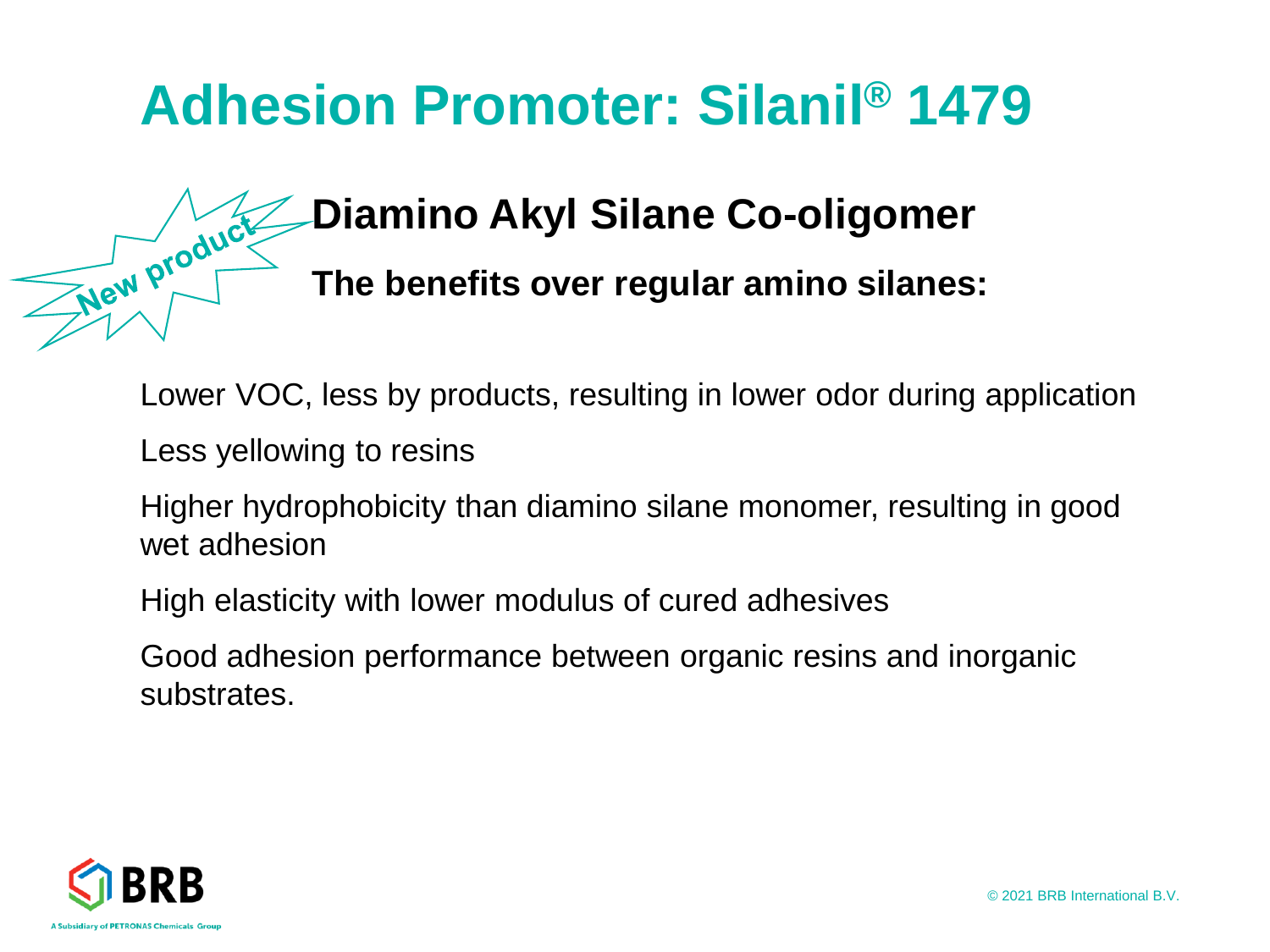### **Adhesion Promoter: Silanil® 1479**

### **Diamino Akyl Silane Co-oligomer**

**The benefits over regular amino silanes:**

Lower VOC, less by products, resulting in lower odor during application

Less yellowing to resins

Higher hydrophobicity than diamino silane monomer, resulting in good wet adhesion

High elasticity with lower modulus of cured adhesives

Good adhesion performance between organic resins and inorganic substrates.



New product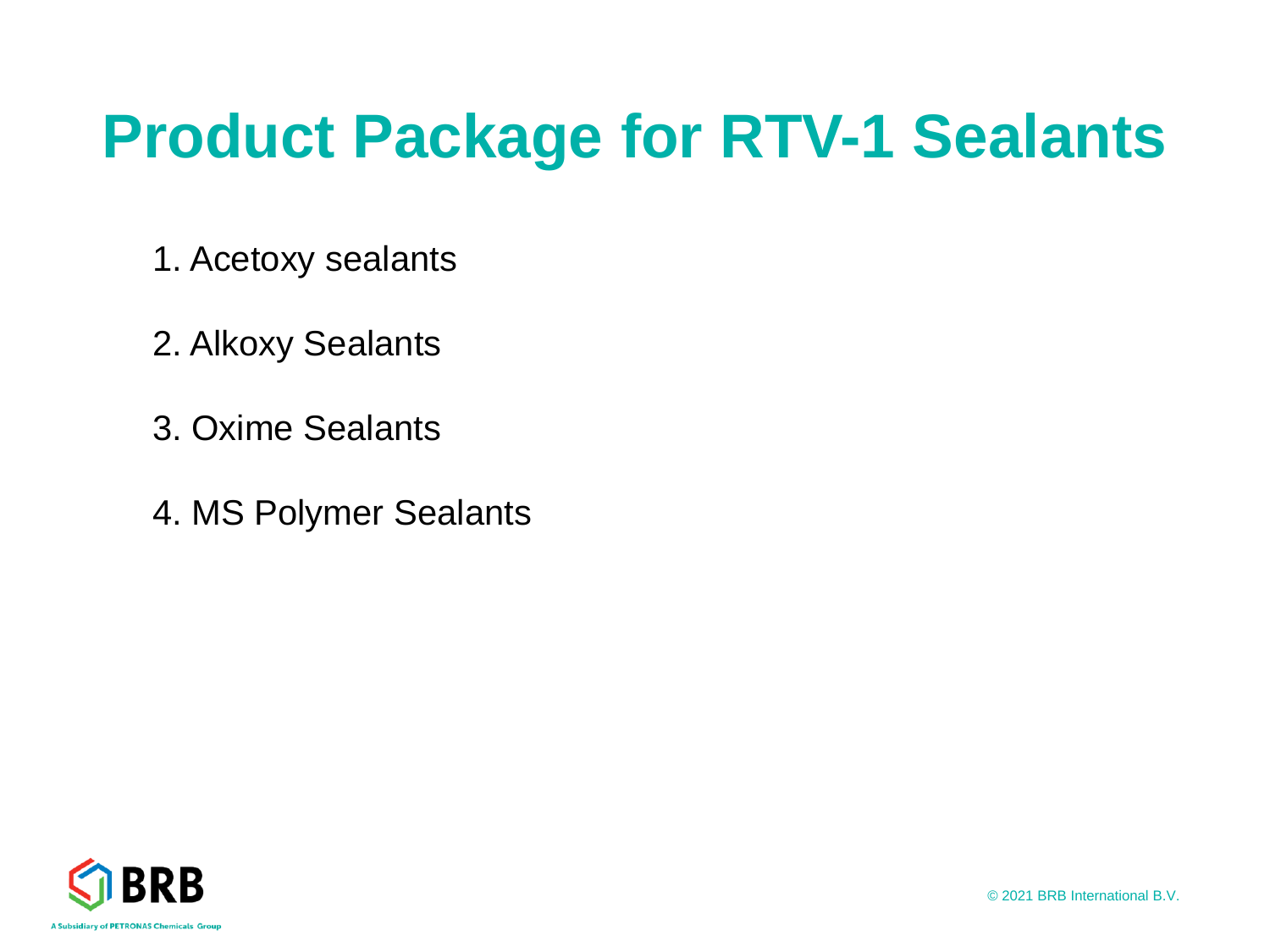# **Product Package for RTV-1 Sealants**

- 1. Acetoxy sealants
- 2. Alkoxy Sealants
- 3. Oxime Sealants
- 4. MS Polymer Sealants

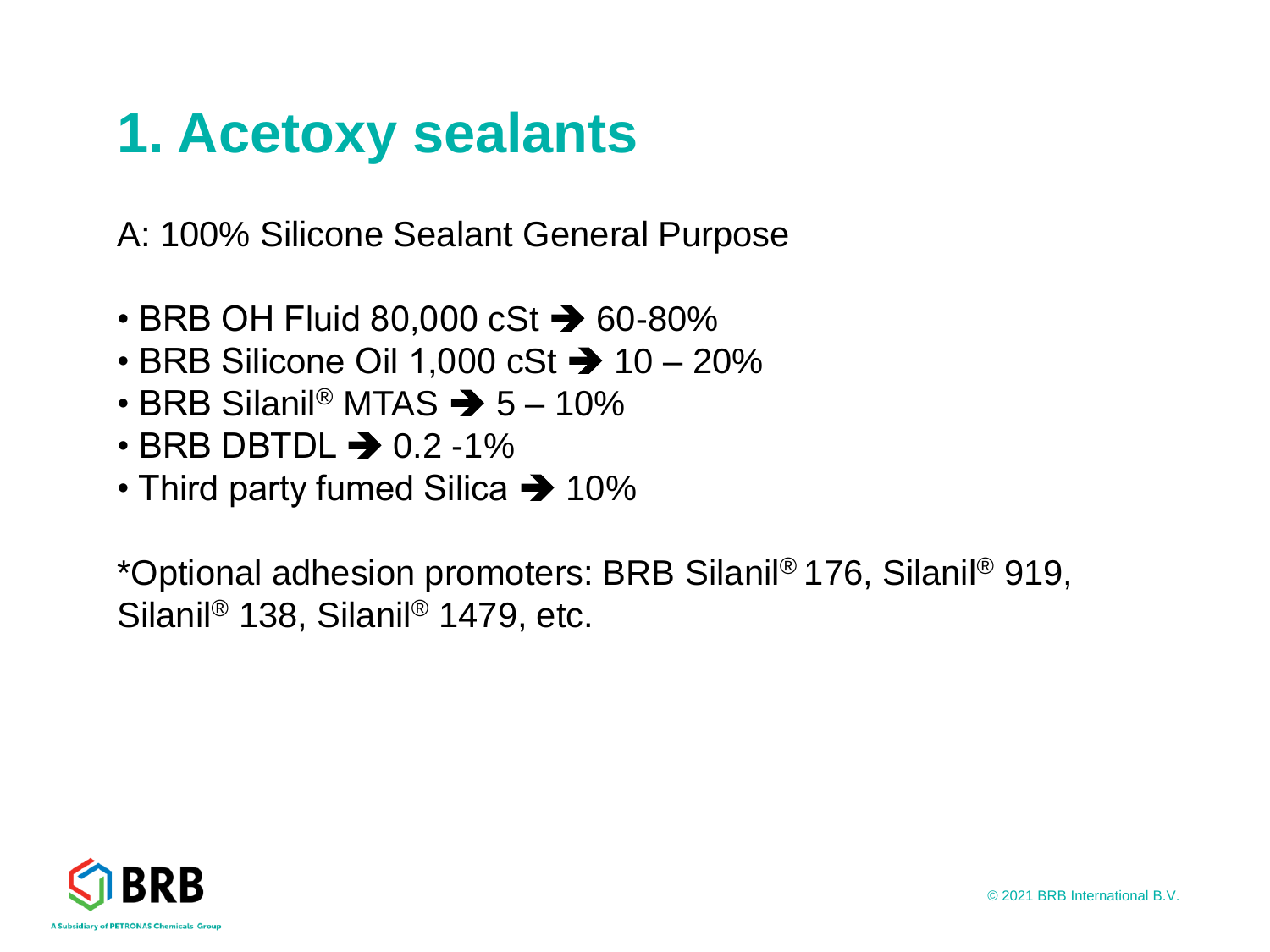### **1. Acetoxy sealants**

A: 100% Silicone Sealant General Purpose

- BRB OH Fluid 80,000 cSt ➔ 60-80%
- BRB Silicone Oil 1,000 cSt ➔ 10 20%
- BRB Silanil<sup>®</sup> MTAS  $\rightarrow$  5 10%
- $\cdot$  BRB DBTDL  $\rightarrow$  0.2-1%
- Third party fumed Silica ➔ 10%

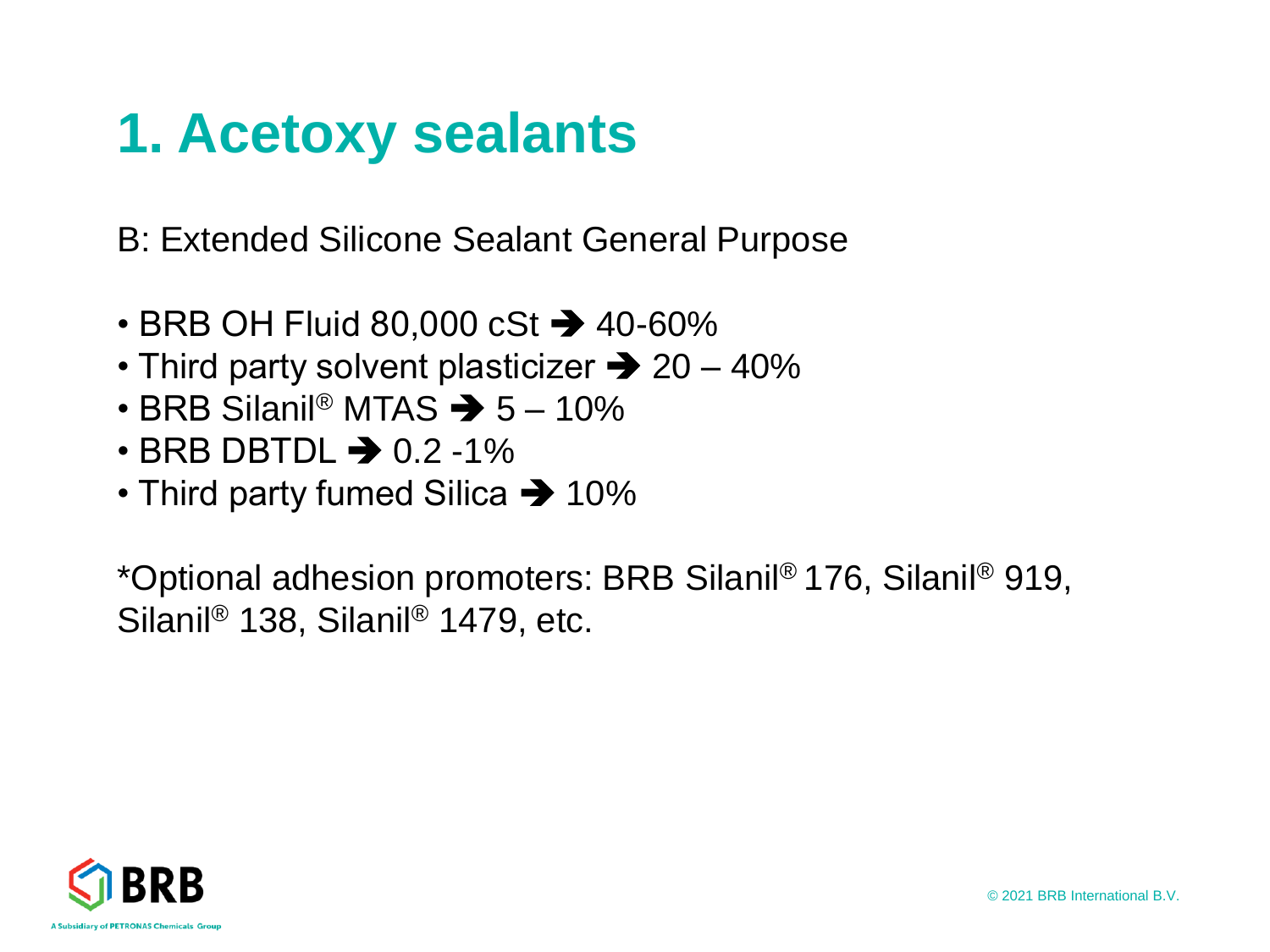### **1. Acetoxy sealants**

B: Extended Silicone Sealant General Purpose

- BRB OH Fluid 80,000 cSt ➔ 40-60%
- Third party solvent plasticizer  $\rightarrow$  20 40%
- BRB Silanil<sup>®</sup> MTAS  $\rightarrow$  5 10%
- $\cdot$  BRB DBTDL  $\rightarrow$  0.2 -1%
- Third party fumed Silica ➔ 10%

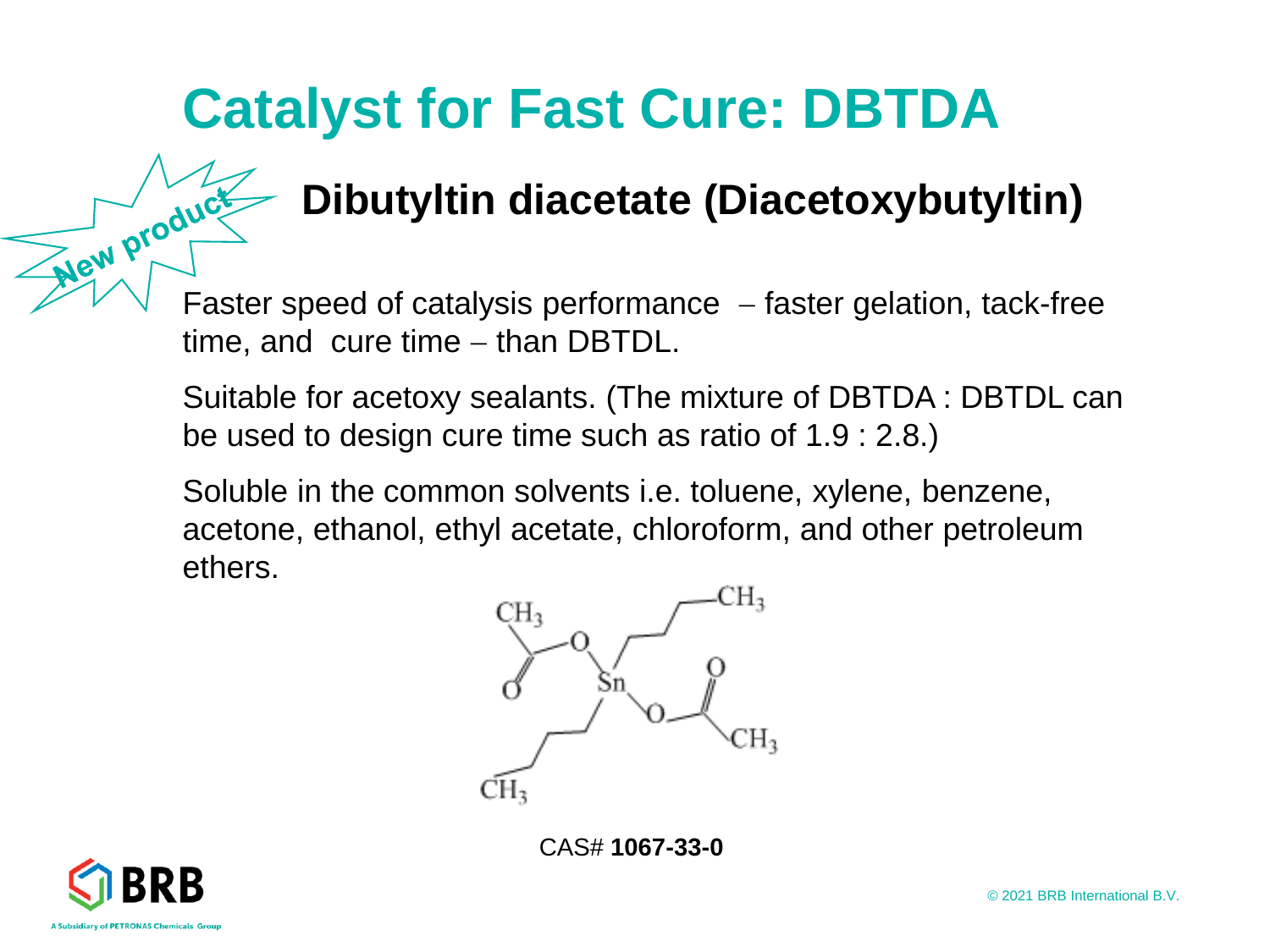### **Catalyst for Fast Cure: DBTDA**

# Faster speed of catalysis performance − faster gelation, tack-free **Dibutyltin diacetate (Diacetoxybutyltin)**

time, and cure time – than DBTDL.

Suitable for acetoxy sealants. (The mixture of DBTDA : DBTDL can be used to design cure time such as ratio of 1.9 : 2.8.)

Soluble in the common solvents i.e. toluene, xylene, benzene, acetone, ethanol, ethyl acetate, chloroform, and other petroleum ethers.



CAS# **1067-33-0**

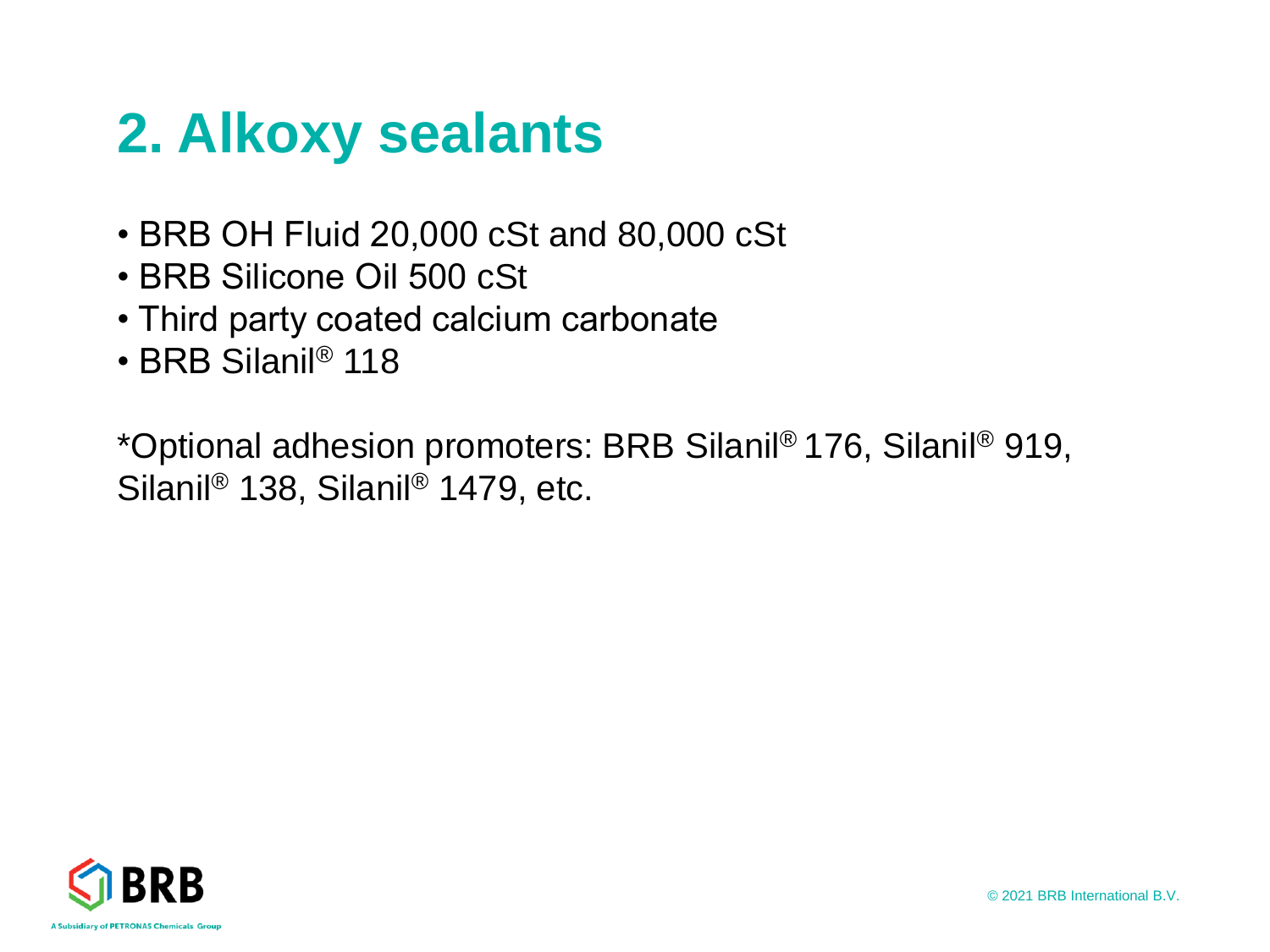### **2. Alkoxy sealants**

- BRB OH Fluid 20,000 cSt and 80,000 cSt
- BRB Silicone Oil 500 cSt
- Third party coated calcium carbonate
- BRB Silanil® 118

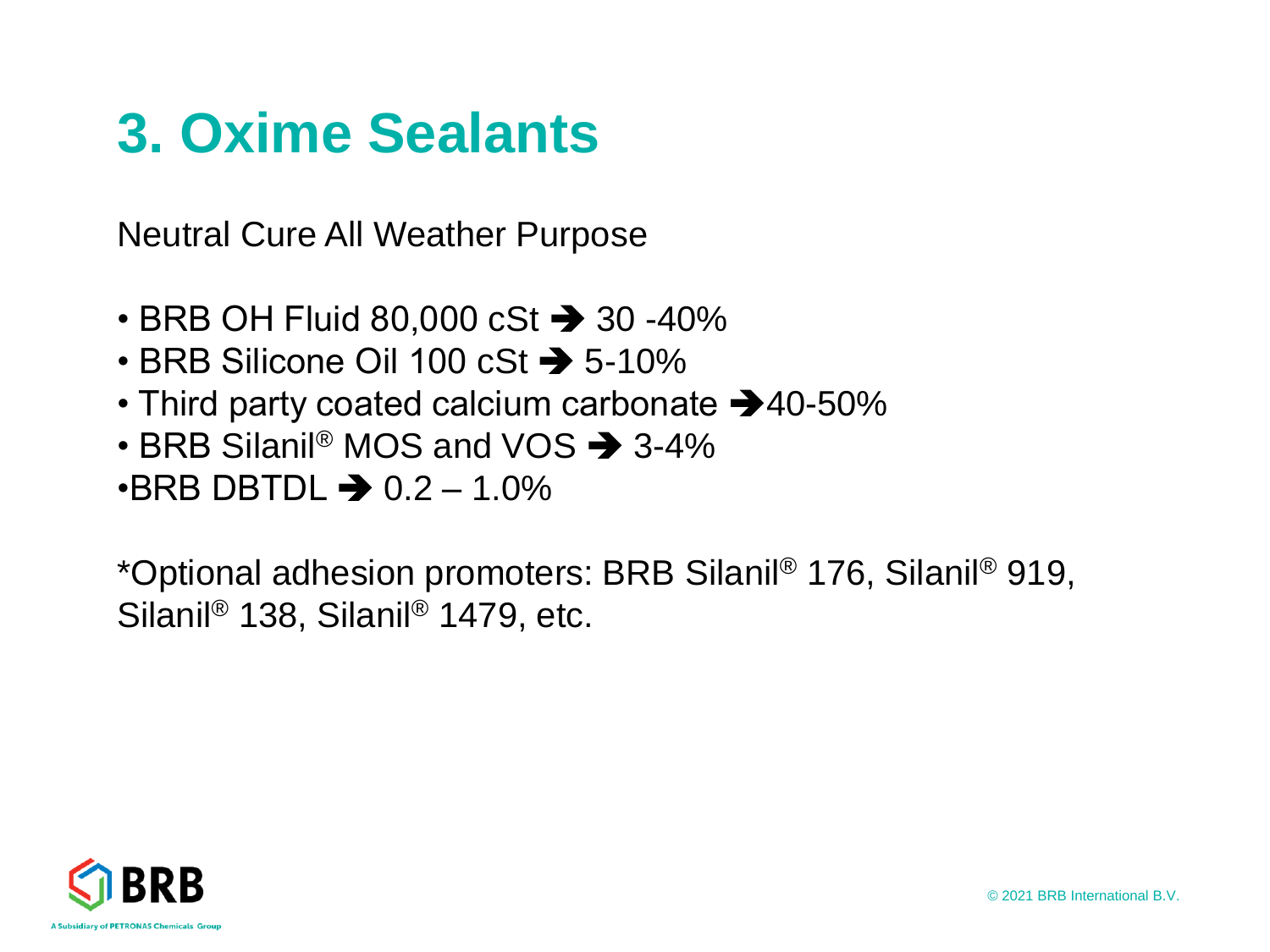### **3. Oxime Sealants**

Neutral Cure All Weather Purpose

- BRB OH Fluid 80,000 cSt → 30 -40%
- BRB Silicone Oil 100 cSt ➔ 5-10%
- Third party coated calcium carbonate ➔40-50%
- BRB Silanil<sup>®</sup> MOS and VOS  $\rightarrow$  3-4%
- $\cdot$ BRB DBTDL  $\rightarrow$  0.2 1.0%

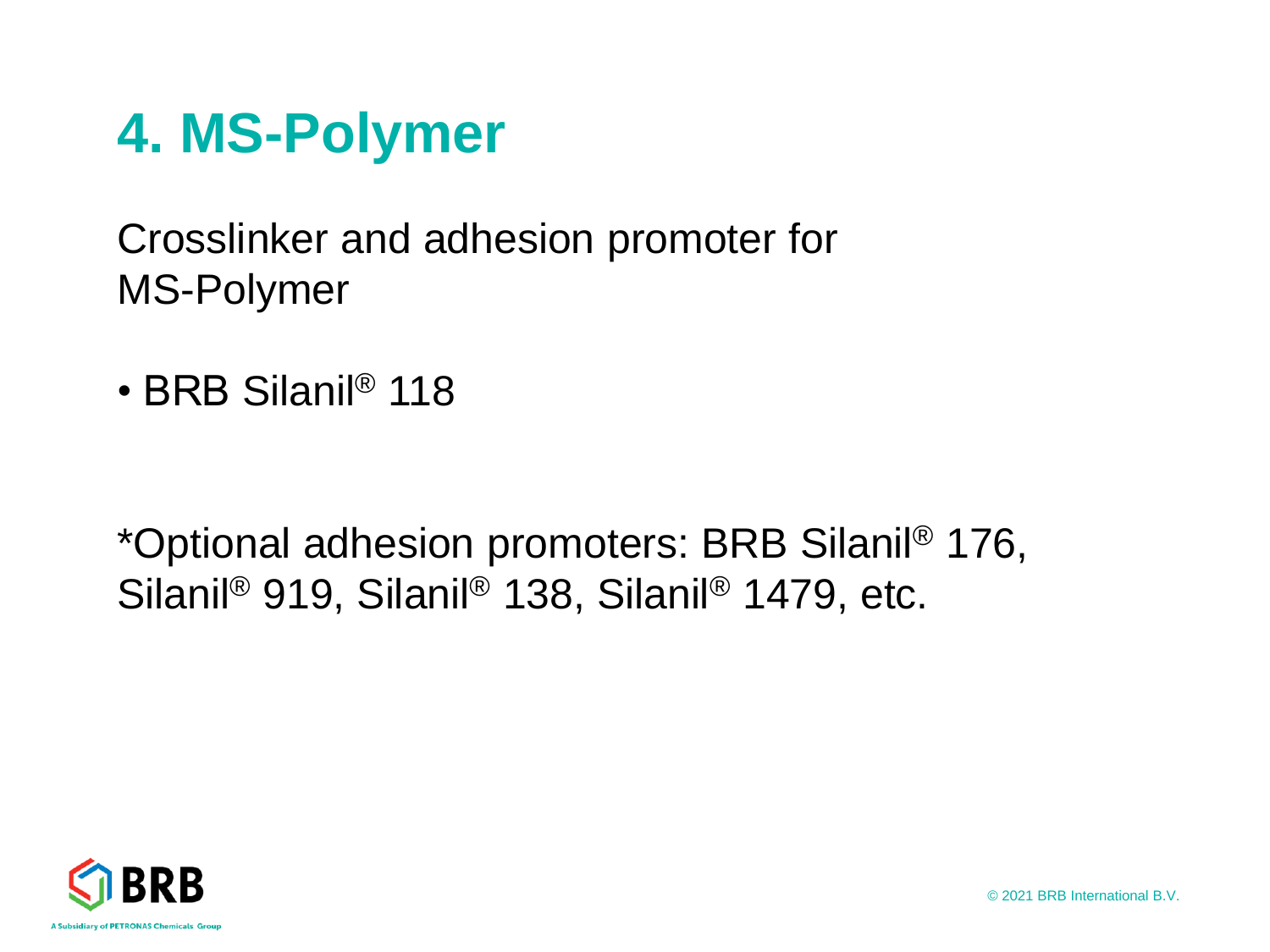### **4. MS-Polymer**

Crosslinker and adhesion promoter for MS-Polymer

• BRB Silanil® 118

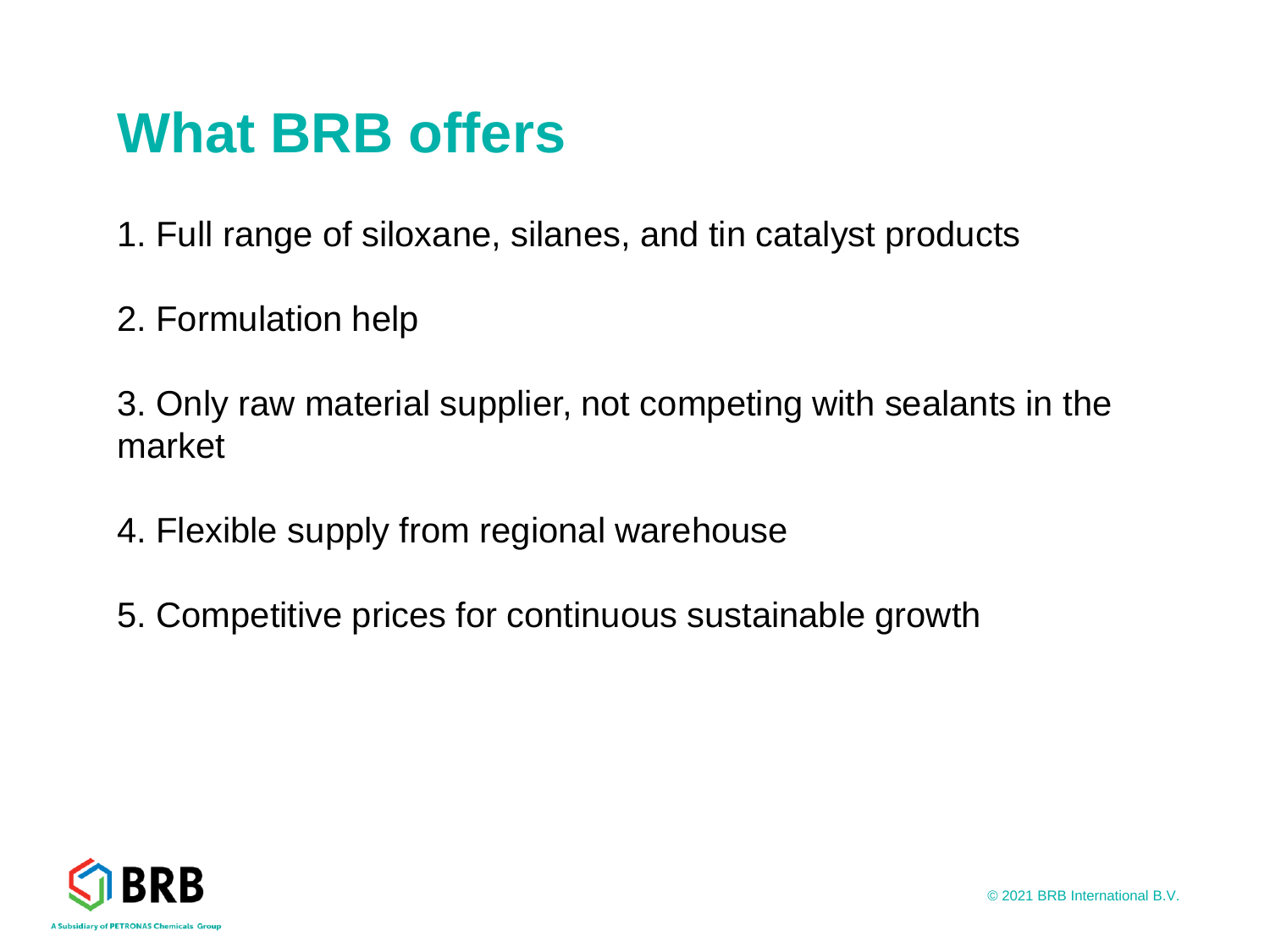### **What BRB offers**

1. Full range of siloxane, silanes, and tin catalyst products

2. Formulation help

3. Only raw material supplier, not competing with sealants in the market

- 4. Flexible supply from regional warehouse
- 5. Competitive prices for continuous sustainable growth

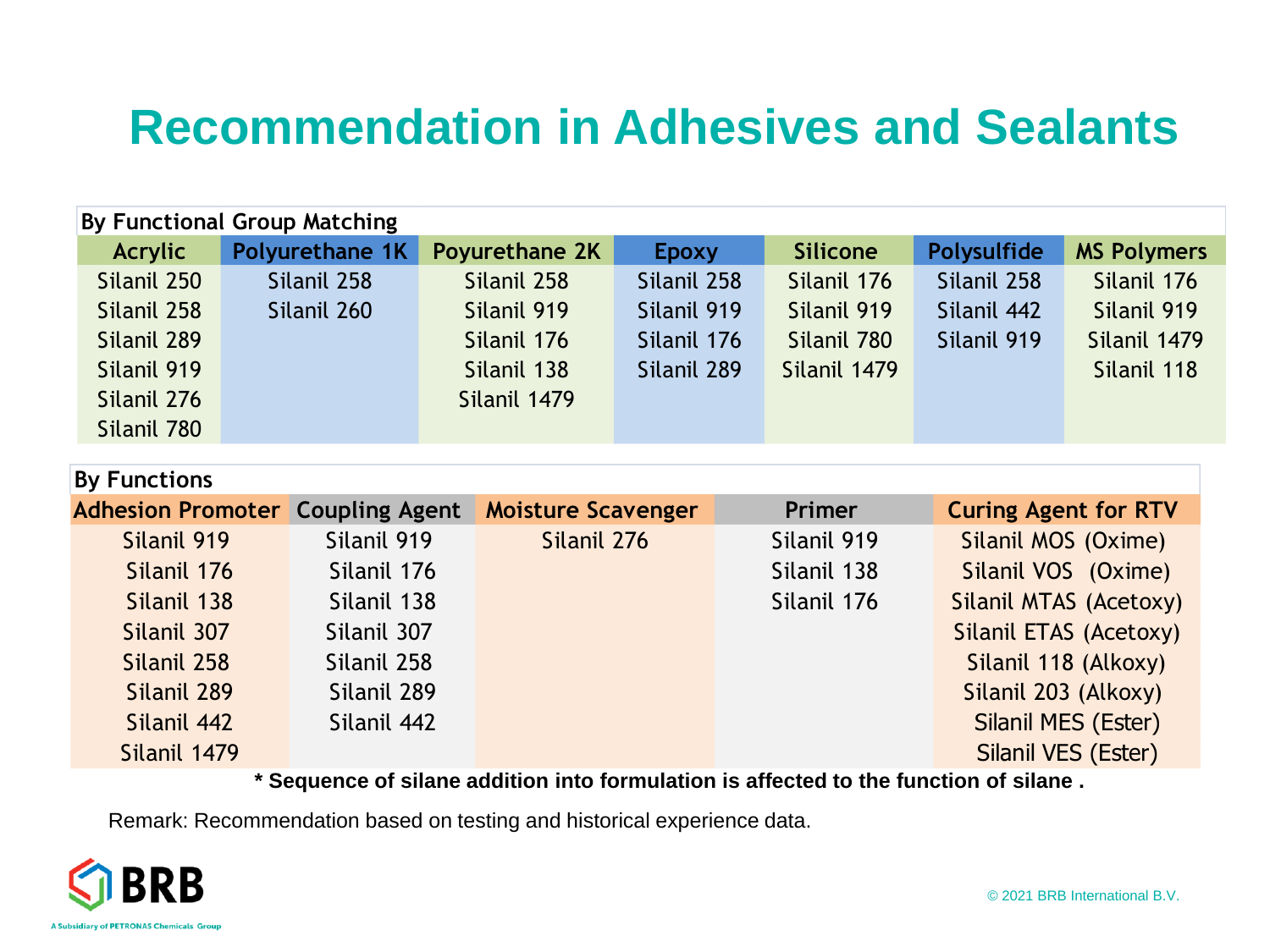### **Recommendation in Adhesives and Sealants**

| By Functional Group Matching |                 |                |             |                 |             |                    |  |  |  |
|------------------------------|-----------------|----------------|-------------|-----------------|-------------|--------------------|--|--|--|
| Acrylic                      | Polyurethane 1K | Poyurethane 2K | Epoxy       | <b>Silicone</b> | Polysulfide | <b>MS Polymers</b> |  |  |  |
| Silanil 250                  | Silanil 258     | Silanil 258    | Silanil 258 | Silanil 176     | Silanil 258 | Silanil 176        |  |  |  |
| Silanil 258                  | Silanil 260     | Silanil 919    | Silanil 919 | Silanil 919     | Silanil 442 | Silanil 919        |  |  |  |
| Silanil 289                  |                 | Silanil 176    | Silanil 176 | Silanil 780     | Silanil 919 | Silanil 1479       |  |  |  |
| Silanil 919                  |                 | Silanil 138    | Silanil 289 | Silanil 1479    |             | Silanil 118        |  |  |  |
| Silanil 276                  |                 | Silanil 1479   |             |                 |             |                    |  |  |  |
| Silanil 780                  |                 |                |             |                 |             |                    |  |  |  |

| By Functions                            |             |                           |               |                             |
|-----------------------------------------|-------------|---------------------------|---------------|-----------------------------|
| <b>Adhesion Promoter Coupling Agent</b> |             | <b>Moisture Scavenger</b> | <b>Primer</b> | <b>Curing Agent for RTV</b> |
| Silanil 919                             | Silanil 919 | Silanil 276               | Silanil 919   | Silanil MOS (Oxime)         |
| Silanil 176                             | Silanil 176 |                           | Silanil 138   | Silanil VOS (Oxime)         |
| Silanil 138                             | Silanil 138 |                           | Silanil 176   | Silanil MTAS (Acetoxy)      |
| Silanil 307                             | Silanil 307 |                           |               | Silanil ETAS (Acetoxy)      |
| Silanil 258                             | Silanil 258 |                           |               | Silanil 118 (Alkoxy)        |
| Silanil 289                             | Silanil 289 |                           |               | Silanil 203 (Alkoxy)        |
| Silanil 442                             | Silanil 442 |                           |               | Silanil MES (Ester)         |
| Silanil 1479                            |             |                           |               | Silanil VES (Ester)         |

**\* Sequence of silane addition into formulation is affected to the function of silane .** 

Remark: Recommendation based on testing and historical experience data.

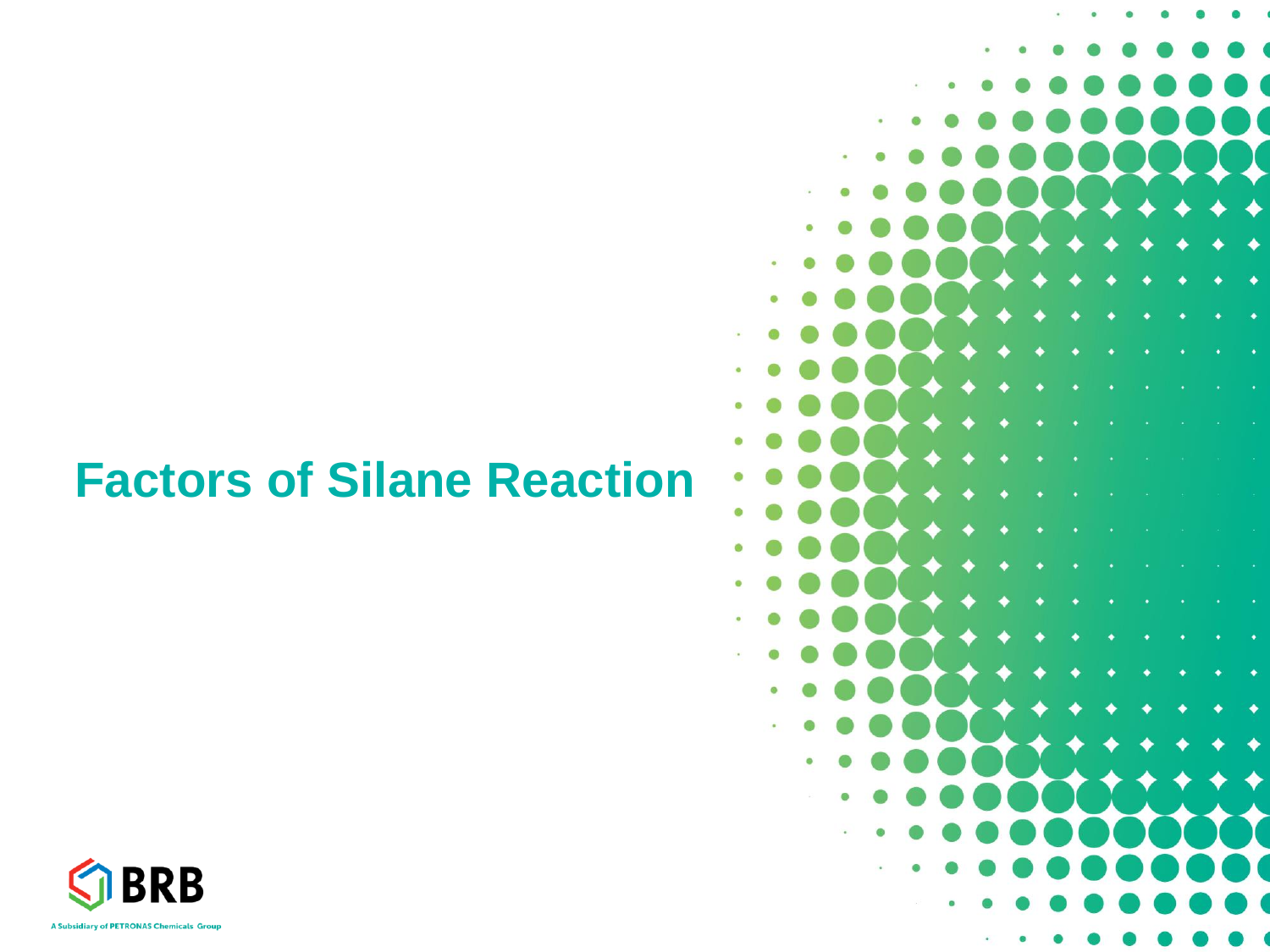### **Factors of Silane Reaction**



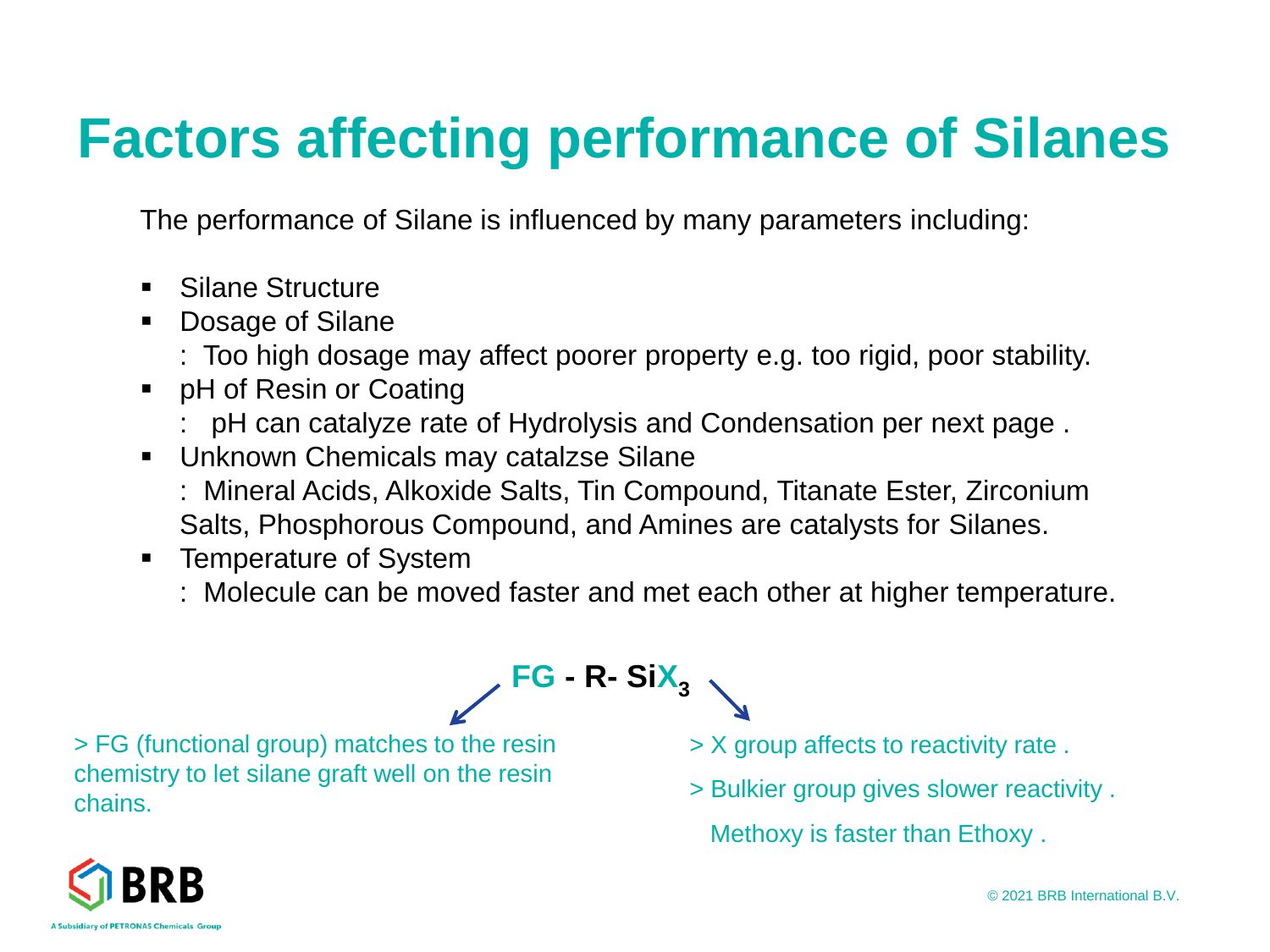## **Factors affecting performance of Silanes**

The performance of Silane is influenced by many parameters including:

- Silane Structure
- Dosage of Silane
	- : Too high dosage may affect poorer property e.g. too rigid, poor stability.
- pH of Resin or Coating
	- : pH can catalyze rate of Hydrolysis and Condensation per next page .
- Unknown Chemicals may catalzse Silane
	- : Mineral Acids, Alkoxide Salts, Tin Compound, Titanate Ester, Zirconium Salts, Phosphorous Compound, and Amines are catalysts for Silanes.
- Temperature of System
	- : Molecule can be moved faster and met each other at higher temperature.

**FG - R- SiX<sup>3</sup>**

> FG (functional group) matches to the resin chemistry to let silane graft well on the resin chains.

- > X group affects to reactivity rate .
- > Bulkier group gives slower reactivity . Methoxy is faster than Ethoxy .

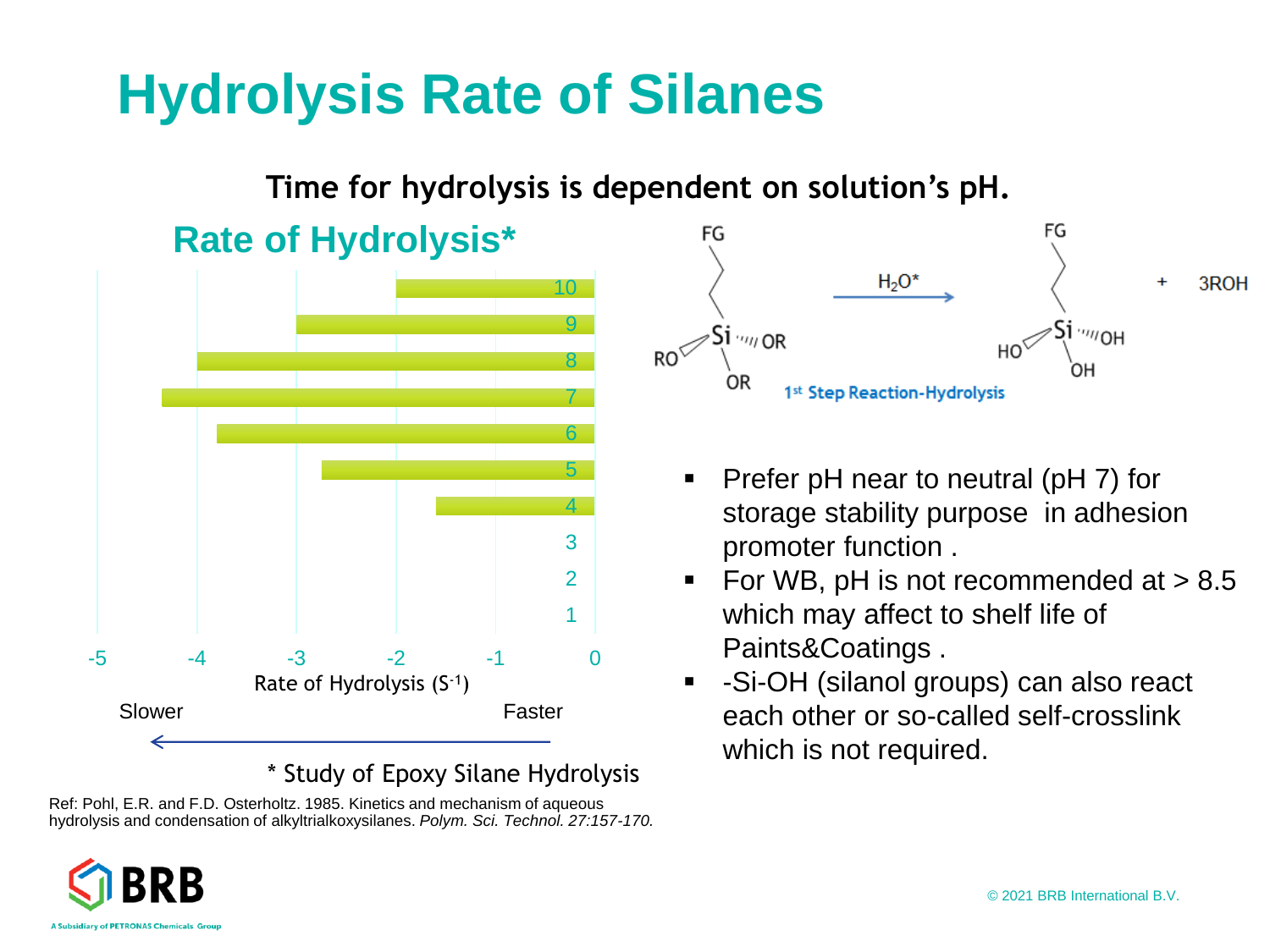### **Hydrolysis Rate of Silanes**

#### **Time for hydrolysis is dependent on solution's pH. Rate of Hydrolysis\*** 10  $\mathbf o$  $RO<sup>6</sup>$ 8 7 6 5 4 3 2 1 -5 -4 -3 -2 -1 0 Rate of Hydrolysis (S-1) Slower Faster

\* Study of Epoxy Silane Hydrolysis Ref: Pohl, E.R. and F.D. Osterholtz. 1985. Kinetics and mechanism of aqueous





- Prefer pH near to neutral (pH 7) for storage stability purpose in adhesion promoter function .
- For WB,  $pH$  is not recommended at  $> 8.5$ which may affect to shelf life of Paints&Coatings .
- -Si-OH (silanol groups) can also react each other or so-called self-crosslink which is not required.

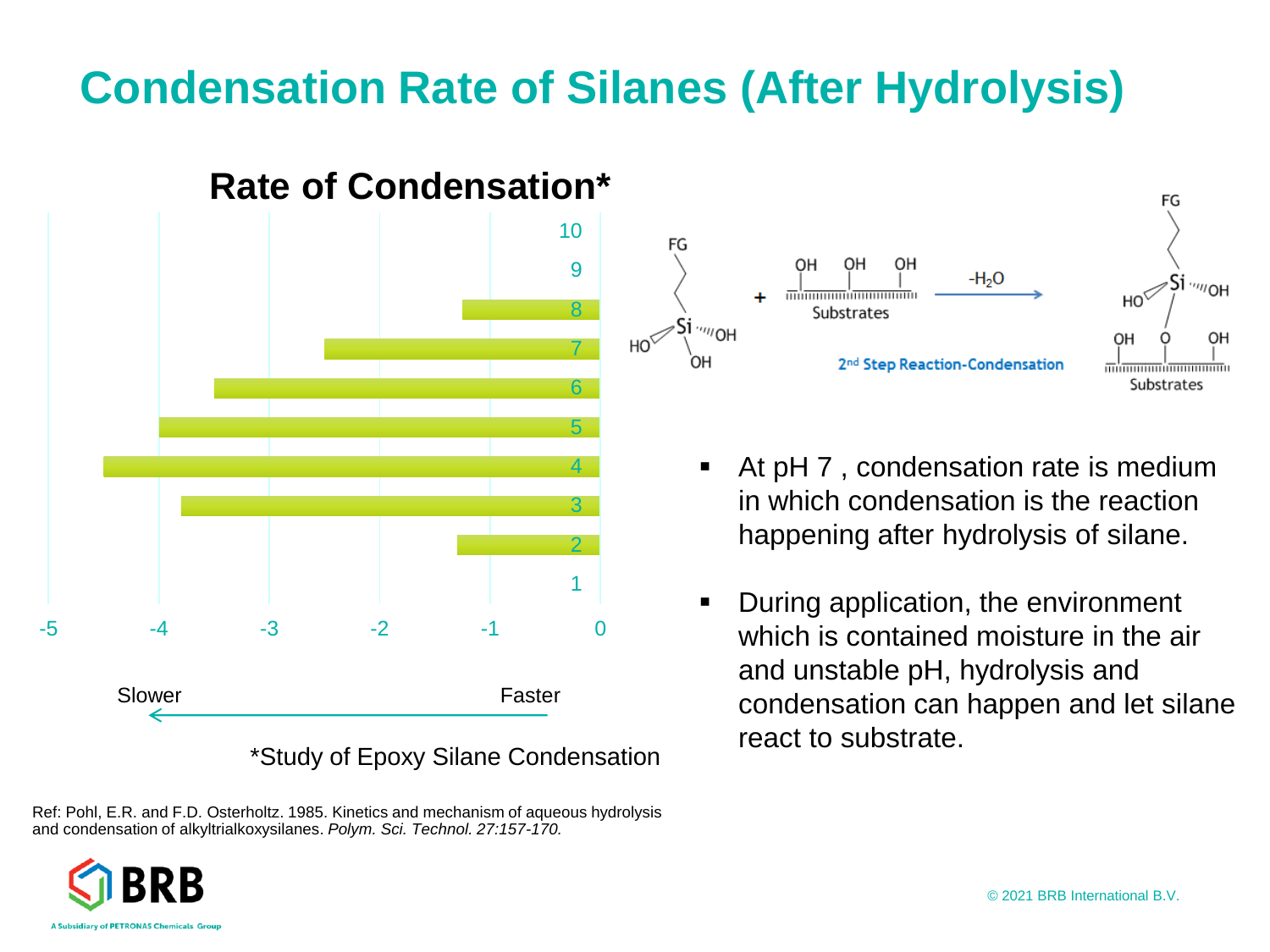### **Condensation Rate of Silanes (After Hydrolysis)**



Ref: Pohl, E.R. and F.D. Osterholtz. 1985. Kinetics and mechanism of aqueous hydrolysis and condensation of alkyltrialkoxysilanes. *Polym. Sci. Technol. 27:157-170.*

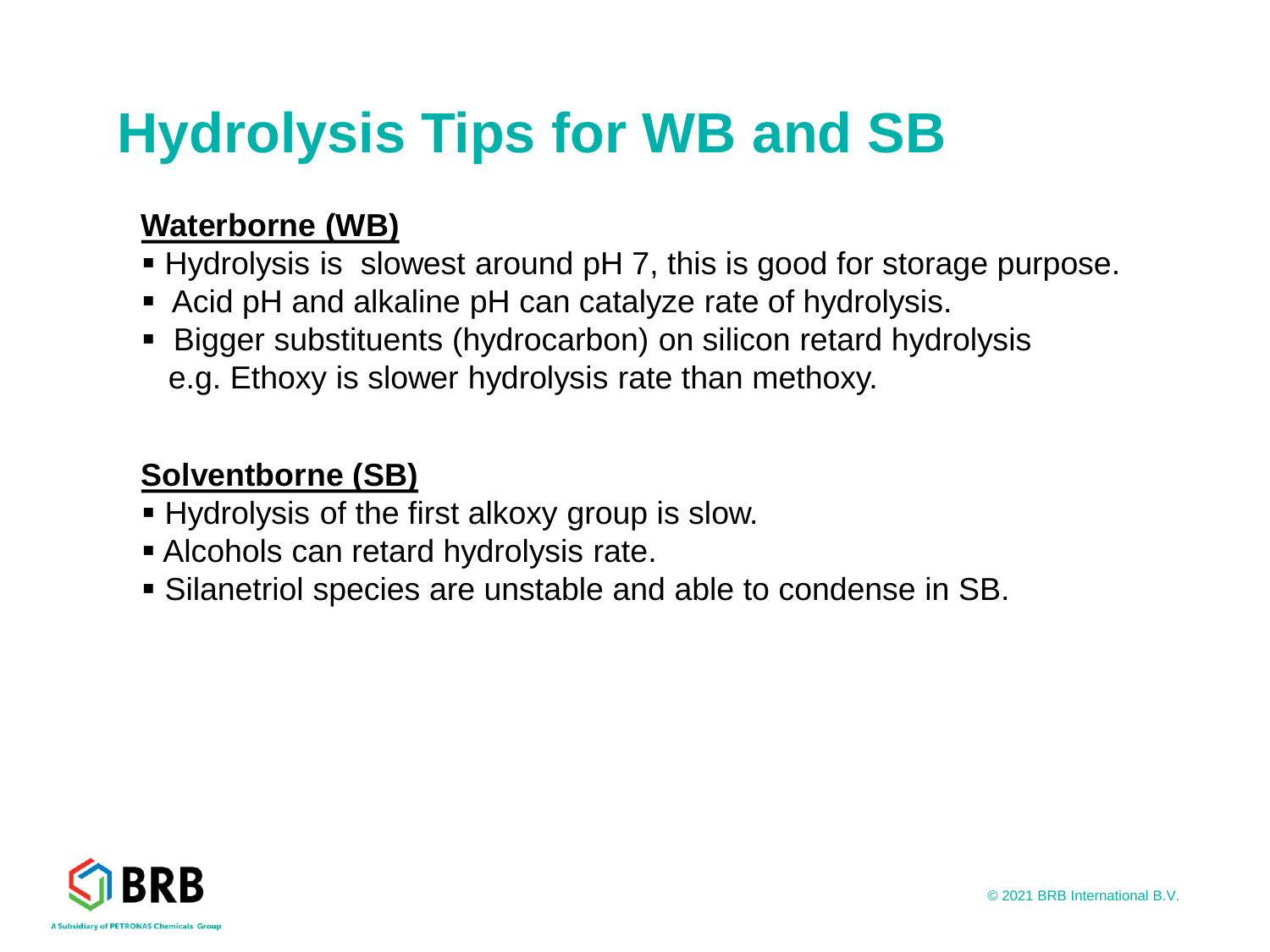### **Hydrolysis Tips for WB and SB**

#### **Waterborne (WB)**

- Hydrolysis is slowest around pH 7, this is good for storage purpose.
- Acid pH and alkaline pH can catalyze rate of hydrolysis.
- Bigger substituents (hydrocarbon) on silicon retard hydrolysis e.g. Ethoxy is slower hydrolysis rate than methoxy.

### **Solventborne (SB)**

- Hydrolysis of the first alkoxy group is slow.
- **EXECOMOLS can retard hydrolysis rate.**
- Silanetriol species are unstable and able to condense in SB.

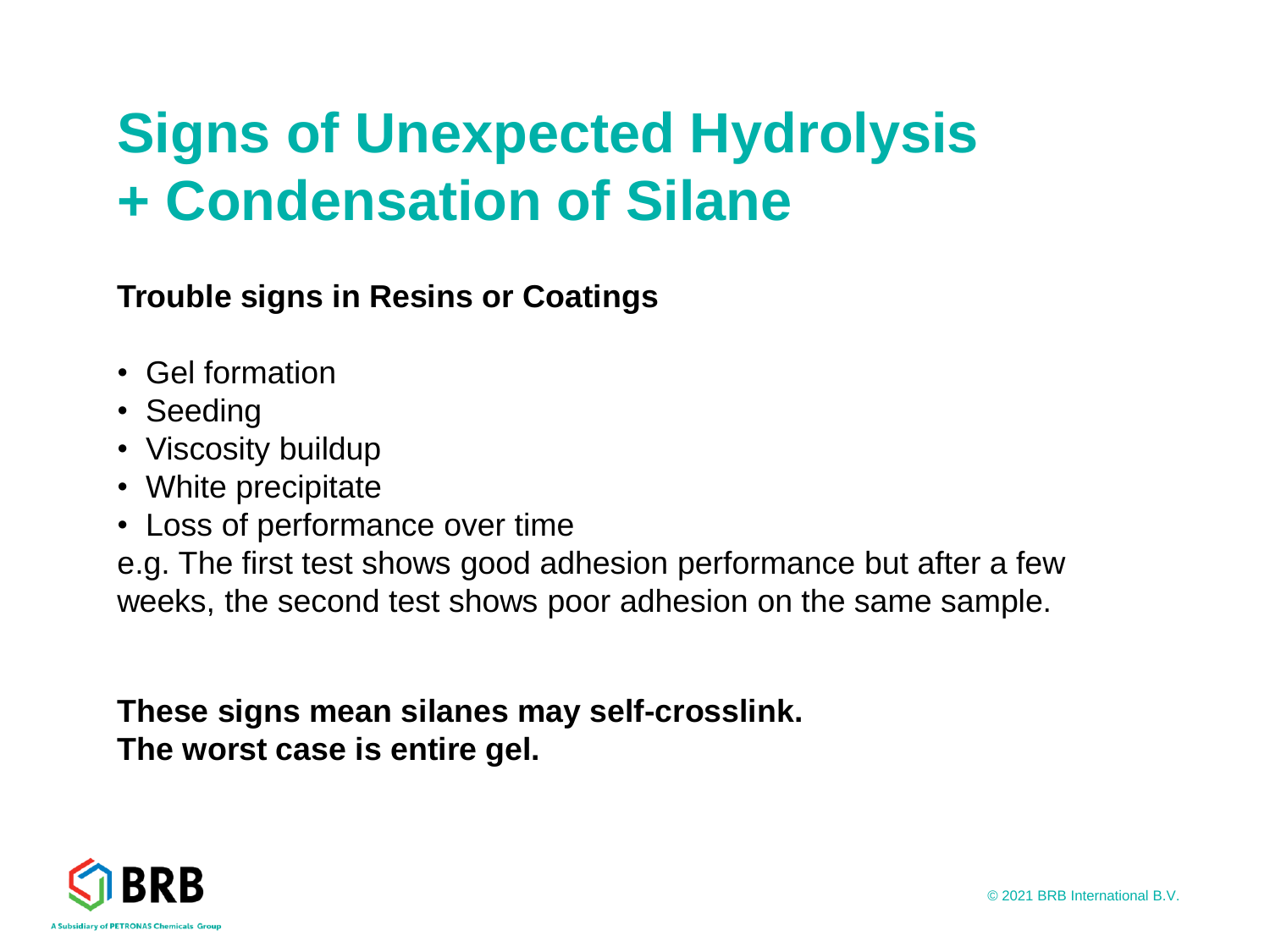### **Signs of Unexpected Hydrolysis + Condensation of Silane**

**Trouble signs in Resins or Coatings** 

- Gel formation
- Seeding
- Viscosity buildup
- White precipitate
- Loss of performance over time

e.g. The first test shows good adhesion performance but after a few weeks, the second test shows poor adhesion on the same sample.

**These signs mean silanes may self-crosslink. The worst case is entire gel.**